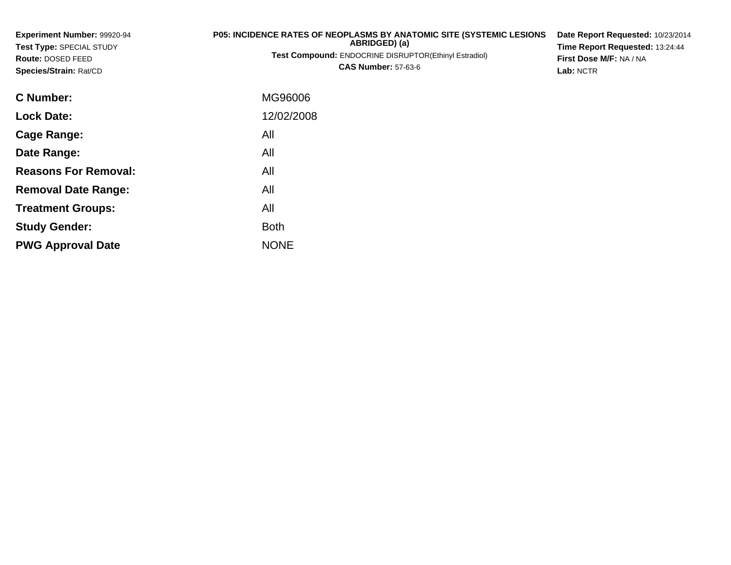| Experiment Number: 99920-94<br>Test Type: SPECIAL STUDY<br>Route: DOSED FEED<br>Species/Strain: Rat/CD | <b>P05: INCIDENCE RATES OF NEOPLASMS BY ANATOMIC SITE (SYSTEMIC LESIONS)</b><br>ABRIDGED) (a)<br><b>Test Compound: ENDOCRINE DISRUPTOR(Ethinyl Estradiol)</b><br><b>CAS Number: 57-63-6</b> | Date Report Requested: 10/23/2014<br>Time Report Requested: 13:24:44<br>First Dose M/F: NA / NA<br>Lab: NCTR |
|--------------------------------------------------------------------------------------------------------|---------------------------------------------------------------------------------------------------------------------------------------------------------------------------------------------|--------------------------------------------------------------------------------------------------------------|
| C Number:                                                                                              | MG96006                                                                                                                                                                                     |                                                                                                              |
| <b>Lock Date:</b>                                                                                      | 12/02/2008                                                                                                                                                                                  |                                                                                                              |
| <b>Cage Range:</b>                                                                                     | All                                                                                                                                                                                         |                                                                                                              |
| Date Range:                                                                                            | All                                                                                                                                                                                         |                                                                                                              |
| <b>Reasons For Removal:</b>                                                                            | All                                                                                                                                                                                         |                                                                                                              |
| <b>Removal Date Range:</b>                                                                             | All                                                                                                                                                                                         |                                                                                                              |

e NONE

Both

All

**Treatment Groups:**

**PWG Approval Date**

**Study Gender:**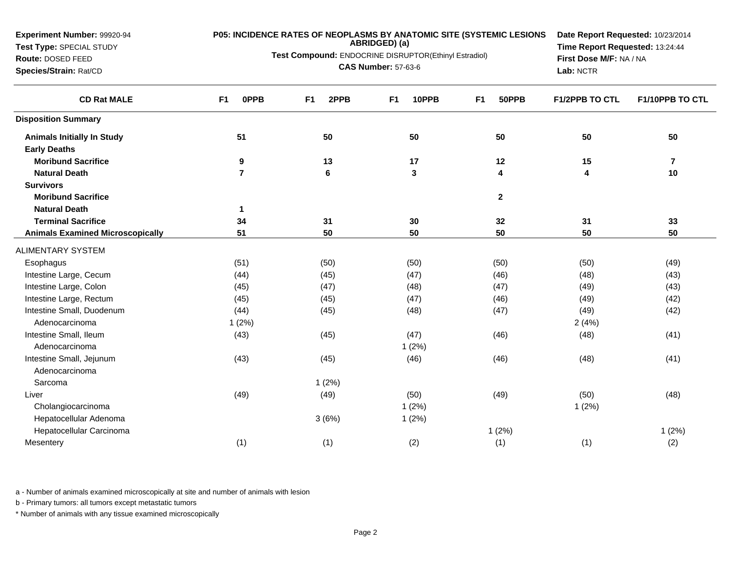**Experiment Number:** 99920-94**Test Type:** SPECIAL STUDY

## **Route:** DOSED FEED

**Species/Strain:** Rat/CD

# **P05: INCIDENCE RATES OF NEOPLASMS BY ANATOMIC SITE (SYSTEMIC LESIONS ABRIDGED) (a)**

**Test Compound:** ENDOCRINE DISRUPTOR(Ethinyl Estradiol)

**CAS Number:** 57-63-6

**Date Report Requested:** 10/23/2014**Time Report Requested:** 13:24:44**First Dose M/F:** NA / NA**Lab:** NCTR

| <b>CD Rat MALE</b>                      | <b>OPPB</b><br>F <sub>1</sub> | 2PPB<br>F <sub>1</sub> | 10PPB<br>F <sub>1</sub> | F <sub>1</sub><br>50PPB | <b>F1/2PPB TO CTL</b> | <b>F1/10PPB TO CTL</b>  |
|-----------------------------------------|-------------------------------|------------------------|-------------------------|-------------------------|-----------------------|-------------------------|
| <b>Disposition Summary</b>              |                               |                        |                         |                         |                       |                         |
| <b>Animals Initially In Study</b>       | 51                            | 50                     | 50                      | 50                      | 50                    | 50                      |
| <b>Early Deaths</b>                     |                               |                        |                         |                         |                       |                         |
| <b>Moribund Sacrifice</b>               | 9                             | 13                     | 17                      | 12                      | 15                    | $\overline{\mathbf{r}}$ |
| <b>Natural Death</b>                    | $\overline{7}$                | 6                      | $\mathbf{3}$            | 4                       | 4                     | 10                      |
| <b>Survivors</b>                        |                               |                        |                         |                         |                       |                         |
| <b>Moribund Sacrifice</b>               |                               |                        |                         | $\mathbf{2}$            |                       |                         |
| <b>Natural Death</b>                    | 1                             |                        |                         |                         |                       |                         |
| <b>Terminal Sacrifice</b>               | 34                            | 31                     | 30                      | 32                      | 31                    | 33                      |
| <b>Animals Examined Microscopically</b> | 51                            | 50                     | 50                      | 50                      | 50                    | 50                      |
| <b>ALIMENTARY SYSTEM</b>                |                               |                        |                         |                         |                       |                         |
| Esophagus                               | (51)                          | (50)                   | (50)                    | (50)                    | (50)                  | (49)                    |
| Intestine Large, Cecum                  | (44)                          | (45)                   | (47)                    | (46)                    | (48)                  | (43)                    |
| Intestine Large, Colon                  | (45)                          | (47)                   | (48)                    | (47)                    | (49)                  | (43)                    |
| Intestine Large, Rectum                 | (45)                          | (45)                   | (47)                    | (46)                    | (49)                  | (42)                    |
| Intestine Small, Duodenum               | (44)                          | (45)                   | (48)                    | (47)                    | (49)                  | (42)                    |
| Adenocarcinoma                          | 1(2%)                         |                        |                         |                         | 2(4%)                 |                         |
| Intestine Small, Ileum                  | (43)                          | (45)                   | (47)                    | (46)                    | (48)                  | (41)                    |
| Adenocarcinoma                          |                               |                        | 1(2%)                   |                         |                       |                         |
| Intestine Small, Jejunum                | (43)                          | (45)                   | (46)                    | (46)                    | (48)                  | (41)                    |
| Adenocarcinoma                          |                               |                        |                         |                         |                       |                         |
| Sarcoma                                 |                               | 1(2%)                  |                         |                         |                       |                         |
| Liver                                   | (49)                          | (49)                   | (50)                    | (49)                    | (50)                  | (48)                    |
| Cholangiocarcinoma                      |                               |                        | 1(2%)                   |                         | 1(2%)                 |                         |
| Hepatocellular Adenoma                  |                               | 3(6%)                  | 1(2%)                   |                         |                       |                         |
| Hepatocellular Carcinoma                |                               |                        |                         | 1(2%)                   |                       | 1(2%)                   |
| Mesentery                               | (1)                           | (1)                    | (2)                     | (1)                     | (1)                   | (2)                     |

a - Number of animals examined microscopically at site and number of animals with lesion

b - Primary tumors: all tumors except metastatic tumors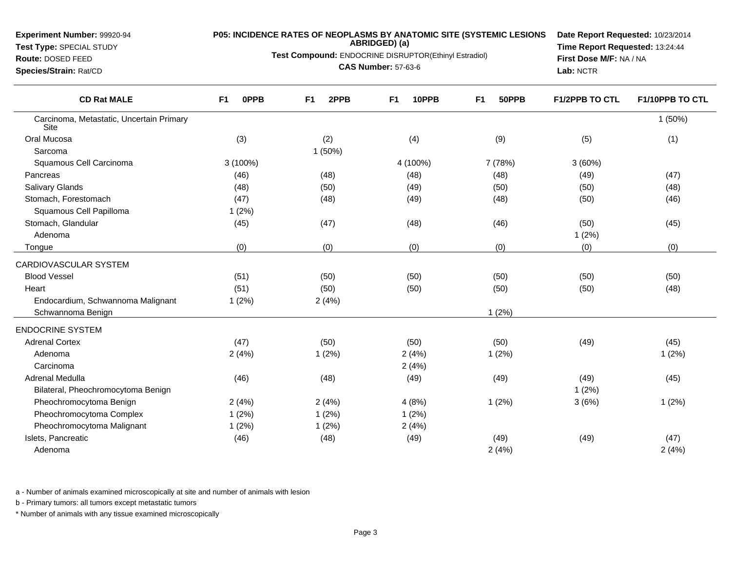**Test Type:** SPECIAL STUDY

### **Route:** DOSED FEED

**Species/Strain:** Rat/CD

# **P05: INCIDENCE RATES OF NEOPLASMS BY ANATOMIC SITE (SYSTEMIC LESIONS ABRIDGED) (a)**

**Test Compound:** ENDOCRINE DISRUPTOR(Ethinyl Estradiol)

**CAS Number:** 57-63-6

**Date Report Requested:** 10/23/2014**Time Report Requested:** 13:24:44**First Dose M/F:** NA / NA**Lab:** NCTR

| <b>CD Rat MALE</b>                               | 0PPB<br>F <sub>1</sub> | 2PPB<br>F <sub>1</sub> | 10PPB<br>F <sub>1</sub> | F <sub>1</sub><br>50PPB | <b>F1/2PPB TO CTL</b> | F1/10PPB TO CTL |
|--------------------------------------------------|------------------------|------------------------|-------------------------|-------------------------|-----------------------|-----------------|
| Carcinoma, Metastatic, Uncertain Primary<br>Site |                        |                        |                         |                         |                       | 1(50%)          |
| Oral Mucosa                                      | (3)                    | (2)                    | (4)                     | (9)                     | (5)                   | (1)             |
| Sarcoma                                          |                        | 1(50%)                 |                         |                         |                       |                 |
| Squamous Cell Carcinoma                          | $3(100\%)$             |                        | 4 (100%)                | 7 (78%)                 | 3(60%)                |                 |
| Pancreas                                         | (46)                   | (48)                   | (48)                    | (48)                    | (49)                  | (47)            |
| <b>Salivary Glands</b>                           | (48)                   | (50)                   | (49)                    | (50)                    | (50)                  | (48)            |
| Stomach, Forestomach                             | (47)                   | (48)                   | (49)                    | (48)                    | (50)                  | (46)            |
| Squamous Cell Papilloma                          | 1(2%)                  |                        |                         |                         |                       |                 |
| Stomach, Glandular                               | (45)                   | (47)                   | (48)                    | (46)                    | (50)                  | (45)            |
| Adenoma                                          |                        |                        |                         |                         | 1(2%)                 |                 |
| Tongue                                           | (0)                    | (0)                    | (0)                     | (0)                     | (0)                   | (0)             |
| CARDIOVASCULAR SYSTEM                            |                        |                        |                         |                         |                       |                 |
| <b>Blood Vessel</b>                              | (51)                   | (50)                   | (50)                    | (50)                    | (50)                  | (50)            |
| Heart                                            | (51)                   | (50)                   | (50)                    | (50)                    | (50)                  | (48)            |
| Endocardium, Schwannoma Malignant                | 1(2%)                  | 2(4%)                  |                         |                         |                       |                 |
| Schwannoma Benign                                |                        |                        |                         | 1(2%)                   |                       |                 |
| <b>ENDOCRINE SYSTEM</b>                          |                        |                        |                         |                         |                       |                 |
| <b>Adrenal Cortex</b>                            | (47)                   | (50)                   | (50)                    | (50)                    | (49)                  | (45)            |
| Adenoma                                          | 2(4%)                  | 1(2%)                  | 2(4%)                   | 1(2%)                   |                       | 1(2%)           |
| Carcinoma                                        |                        |                        | 2(4%)                   |                         |                       |                 |
| Adrenal Medulla                                  | (46)                   | (48)                   | (49)                    | (49)                    | (49)                  | (45)            |
| Bilateral, Pheochromocytoma Benign               |                        |                        |                         |                         | 1(2%)                 |                 |
| Pheochromocytoma Benign                          | 2(4%)                  | 2(4%)                  | 4(8%)                   | 1(2%)                   | 3(6%)                 | 1(2%)           |
| Pheochromocytoma Complex                         | 1(2%)                  | 1(2%)                  | 1(2%)                   |                         |                       |                 |
| Pheochromocytoma Malignant                       | 1(2%)                  | 1(2%)                  | 2(4%)                   |                         |                       |                 |
| Islets, Pancreatic                               | (46)                   | (48)                   | (49)                    | (49)                    | (49)                  | (47)            |
| Adenoma                                          |                        |                        |                         | 2(4%)                   |                       | 2(4%)           |
|                                                  |                        |                        |                         |                         |                       |                 |

a - Number of animals examined microscopically at site and number of animals with lesion

b - Primary tumors: all tumors except metastatic tumors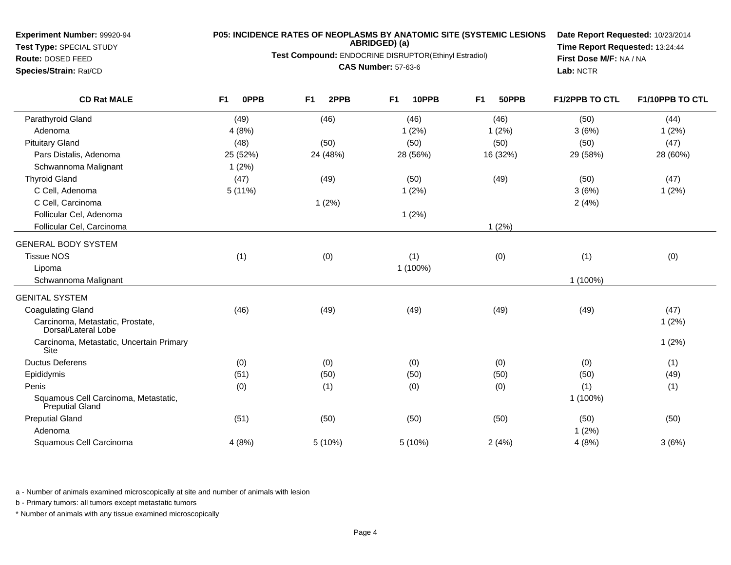**Experiment Number:** 99920-94**Test Type:** SPECIAL STUDY

**Route:** DOSED FEED

**Species/Strain:** Rat/CD

# **P05: INCIDENCE RATES OF NEOPLASMS BY ANATOMIC SITE (SYSTEMIC LESIONS ABRIDGED) (a)**

**Test Compound:** ENDOCRINE DISRUPTOR(Ethinyl Estradiol)

**CAS Number:** 57-63-6

**Date Report Requested:** 10/23/2014**Time Report Requested:** 13:24:44**First Dose M/F:** NA / NA**Lab:** NCTR

| <b>CD Rat MALE</b>                                      | F <sub>1</sub><br><b>OPPB</b> | F <sub>1</sub><br>2PPB | F <sub>1</sub><br>10PPB | F <sub>1</sub><br>50PPB | <b>F1/2PPB TO CTL</b> | F1/10PPB TO CTL |
|---------------------------------------------------------|-------------------------------|------------------------|-------------------------|-------------------------|-----------------------|-----------------|
| Parathyroid Gland                                       | (49)                          | (46)                   | (46)                    | (46)                    | (50)                  | (44)            |
| Adenoma                                                 | 4(8%)                         |                        | 1(2%)                   | 1(2%)                   | 3(6%)                 | 1(2%)           |
| <b>Pituitary Gland</b>                                  | (48)                          | (50)                   | (50)                    | (50)                    | (50)                  | (47)            |
| Pars Distalis, Adenoma                                  | 25 (52%)                      | 24 (48%)               | 28 (56%)                | 16 (32%)                | 29 (58%)              | 28 (60%)        |
| Schwannoma Malignant                                    | 1(2%)                         |                        |                         |                         |                       |                 |
| <b>Thyroid Gland</b>                                    | (47)                          | (49)                   | (50)                    | (49)                    | (50)                  | (47)            |
| C Cell, Adenoma                                         | 5(11%)                        |                        | 1(2%)                   |                         | 3(6%)                 | 1(2%)           |
| C Cell, Carcinoma                                       |                               | 1(2%)                  |                         |                         | 2(4%)                 |                 |
| Follicular Cel, Adenoma                                 |                               |                        | 1(2%)                   |                         |                       |                 |
| Follicular Cel, Carcinoma                               |                               |                        |                         | 1(2%)                   |                       |                 |
| <b>GENERAL BODY SYSTEM</b>                              |                               |                        |                         |                         |                       |                 |
| <b>Tissue NOS</b>                                       | (1)                           | (0)                    | (1)                     | (0)                     | (1)                   | (0)             |
| Lipoma                                                  |                               |                        | 1 (100%)                |                         |                       |                 |
| Schwannoma Malignant                                    |                               |                        |                         |                         | 1 (100%)              |                 |
| <b>GENITAL SYSTEM</b>                                   |                               |                        |                         |                         |                       |                 |
| <b>Coagulating Gland</b>                                | (46)                          | (49)                   | (49)                    | (49)                    | (49)                  | (47)            |
| Carcinoma, Metastatic, Prostate,<br>Dorsal/Lateral Lobe |                               |                        |                         |                         |                       | 1(2%)           |
| Carcinoma, Metastatic, Uncertain Primary<br>Site        |                               |                        |                         |                         |                       | 1(2%)           |
| <b>Ductus Deferens</b>                                  | (0)                           | (0)                    | (0)                     | (0)                     | (0)                   | (1)             |
| Epididymis                                              | (51)                          | (50)                   | (50)                    | (50)                    | (50)                  | (49)            |
| Penis                                                   | (0)                           | (1)                    | (0)                     | (0)                     | (1)                   | (1)             |
| Squamous Cell Carcinoma, Metastatic,<br>Preputial Gland |                               |                        |                         |                         | 1 (100%)              |                 |
| <b>Preputial Gland</b>                                  | (51)                          | (50)                   | (50)                    | (50)                    | (50)                  | (50)            |
| Adenoma                                                 |                               |                        |                         |                         | 1(2%)                 |                 |
| Squamous Cell Carcinoma                                 | 4(8%)                         | 5 (10%)                | 5 (10%)                 | 2(4%)                   | 4(8%)                 | 3(6%)           |

a - Number of animals examined microscopically at site and number of animals with lesion

b - Primary tumors: all tumors except metastatic tumors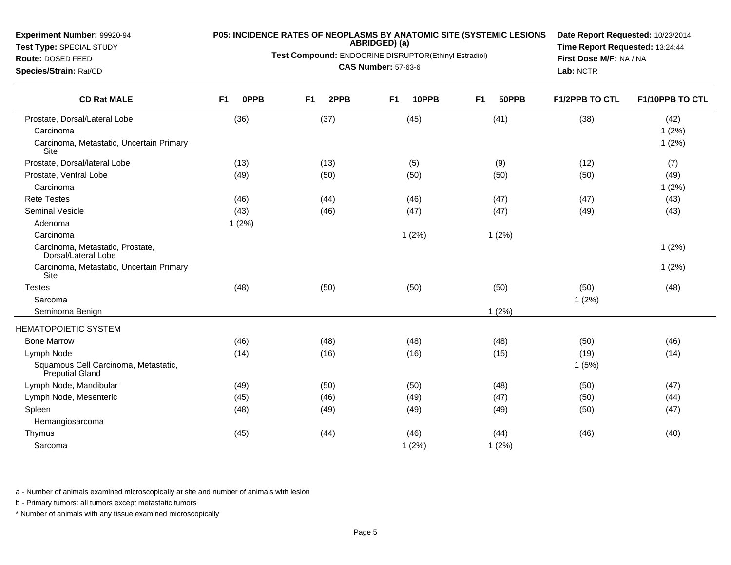**Test Type:** SPECIAL STUDY**Route:** DOSED FEED

# **P05: INCIDENCE RATES OF NEOPLASMS BY ANATOMIC SITE (SYSTEMIC LESIONS ABRIDGED) (a)**

**Test Compound:** ENDOCRINE DISRUPTOR(Ethinyl Estradiol)

**CAS Number:** 57-63-6

**Date Report Requested:** 10/23/2014**Time Report Requested:** 13:24:44**First Dose M/F:** NA / NA**Lab:** NCTR

| <b>CD Rat MALE</b>                                      | <b>OPPB</b><br>F <sub>1</sub> | F <sub>1</sub><br>2PPB | F <sub>1</sub><br>10PPB | F <sub>1</sub><br>50PPB | <b>F1/2PPB TO CTL</b> | F1/10PPB TO CTL |
|---------------------------------------------------------|-------------------------------|------------------------|-------------------------|-------------------------|-----------------------|-----------------|
| Prostate, Dorsal/Lateral Lobe                           | (36)                          | (37)                   | (45)                    | (41)                    | (38)                  | (42)            |
| Carcinoma                                               |                               |                        |                         |                         |                       | 1(2%)           |
| Carcinoma, Metastatic, Uncertain Primary<br>Site        |                               |                        |                         |                         |                       | 1(2%)           |
| Prostate, Dorsal/lateral Lobe                           | (13)                          | (13)                   | (5)                     | (9)                     | (12)                  | (7)             |
| Prostate, Ventral Lobe                                  | (49)                          | (50)                   | (50)                    | (50)                    | (50)                  | (49)            |
| Carcinoma                                               |                               |                        |                         |                         |                       | 1(2%)           |
| <b>Rete Testes</b>                                      | (46)                          | (44)                   | (46)                    | (47)                    | (47)                  | (43)            |
| <b>Seminal Vesicle</b>                                  | (43)                          | (46)                   | (47)                    | (47)                    | (49)                  | (43)            |
| Adenoma                                                 | 1(2%)                         |                        |                         |                         |                       |                 |
| Carcinoma                                               |                               |                        | 1(2%)                   | 1(2%)                   |                       |                 |
| Carcinoma, Metastatic, Prostate,<br>Dorsal/Lateral Lobe |                               |                        |                         |                         |                       | 1(2%)           |
| Carcinoma, Metastatic, Uncertain Primary<br>Site        |                               |                        |                         |                         |                       | 1(2%)           |
| <b>Testes</b>                                           | (48)                          | (50)                   | (50)                    | (50)                    | (50)                  | (48)            |
| Sarcoma                                                 |                               |                        |                         |                         | 1(2%)                 |                 |
| Seminoma Benign                                         |                               |                        |                         | 1(2%)                   |                       |                 |
| <b>HEMATOPOIETIC SYSTEM</b>                             |                               |                        |                         |                         |                       |                 |
| <b>Bone Marrow</b>                                      | (46)                          | (48)                   | (48)                    | (48)                    | (50)                  | (46)            |
| Lymph Node                                              | (14)                          | (16)                   | (16)                    | (15)                    | (19)                  | (14)            |
| Squamous Cell Carcinoma, Metastatic,<br>Preputial Gland |                               |                        |                         |                         | 1(5%)                 |                 |
| Lymph Node, Mandibular                                  | (49)                          | (50)                   | (50)                    | (48)                    | (50)                  | (47)            |
| Lymph Node, Mesenteric                                  | (45)                          | (46)                   | (49)                    | (47)                    | (50)                  | (44)            |
| Spleen                                                  | (48)                          | (49)                   | (49)                    | (49)                    | (50)                  | (47)            |
| Hemangiosarcoma                                         |                               |                        |                         |                         |                       |                 |
| Thymus                                                  | (45)                          | (44)                   | (46)                    | (44)                    | (46)                  | (40)            |
| Sarcoma                                                 |                               |                        | 1(2%)                   | 1(2%)                   |                       |                 |

a - Number of animals examined microscopically at site and number of animals with lesion

b - Primary tumors: all tumors except metastatic tumors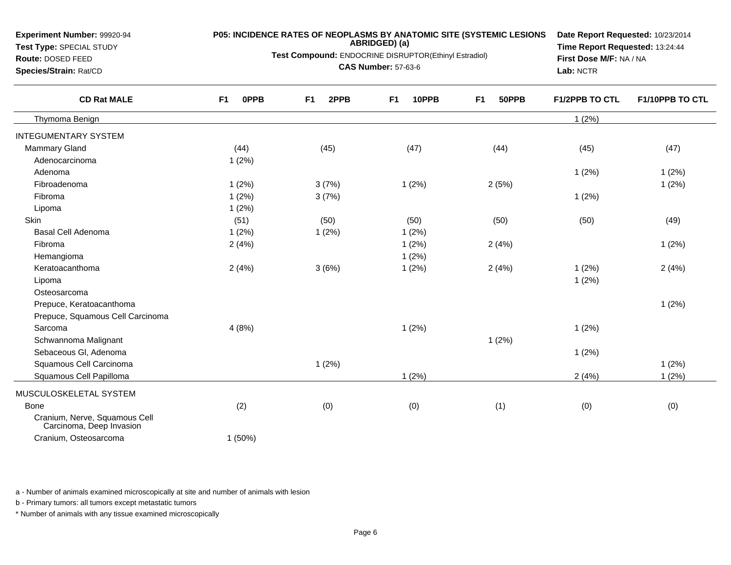| <b>Experiment Number: 99920-94</b><br>Test Type: SPECIAL STUDY<br>Route: DOSED FEED<br>Species/Strain: Rat/CD | <b>P05: INCIDENCE RATES OF NEOPLASMS BY ANATOMIC SITE (SYSTEMIC LESIONS</b><br>ABRIDGED) (a)<br>Test Compound: ENDOCRINE DISRUPTOR(Ethinyl Estradiol)<br><b>CAS Number: 57-63-6</b> |                        |                         |                         | Date Report Requested: 10/23/2014<br>Time Report Requested: 13:24:44<br>First Dose M/F: NA / NA<br>Lab: NCTR |                 |
|---------------------------------------------------------------------------------------------------------------|-------------------------------------------------------------------------------------------------------------------------------------------------------------------------------------|------------------------|-------------------------|-------------------------|--------------------------------------------------------------------------------------------------------------|-----------------|
| <b>CD Rat MALE</b>                                                                                            | <b>OPPB</b><br>F <sub>1</sub>                                                                                                                                                       | 2PPB<br>F <sub>1</sub> | 10PPB<br>F <sub>1</sub> | F <sub>1</sub><br>50PPB | F1/2PPB TO CTL                                                                                               | F1/10PPB TO CTL |
| Thymoma Benign                                                                                                |                                                                                                                                                                                     |                        |                         |                         | 1(2%)                                                                                                        |                 |
| <b>INTEGUMENTARY SYSTEM</b>                                                                                   |                                                                                                                                                                                     |                        |                         |                         |                                                                                                              |                 |
| <b>Mammary Gland</b>                                                                                          | (44)                                                                                                                                                                                | (45)                   | (47)                    | (44)                    | (45)                                                                                                         | (47)            |
| Adenocarcinoma                                                                                                | 1(2%)                                                                                                                                                                               |                        |                         |                         |                                                                                                              |                 |
| Adenoma                                                                                                       |                                                                                                                                                                                     |                        |                         |                         | 1(2%)                                                                                                        | 1(2%)           |
| Fibroadenoma                                                                                                  | $1(2\%)$                                                                                                                                                                            | 3(7%)                  | 1(2%)                   | 2(5%)                   |                                                                                                              | 1(2%)           |
| Fibroma                                                                                                       | 1(2%)                                                                                                                                                                               | 3(7%)                  |                         |                         | 1(2%)                                                                                                        |                 |
| Lipoma                                                                                                        | 1(2%)                                                                                                                                                                               |                        |                         |                         |                                                                                                              |                 |
| Skin                                                                                                          | (51)                                                                                                                                                                                | (50)                   | (50)                    | (50)                    | (50)                                                                                                         | (49)            |
| <b>Basal Cell Adenoma</b>                                                                                     | 1(2%)                                                                                                                                                                               | 1(2%)                  | 1(2%)                   |                         |                                                                                                              |                 |
| Fibroma                                                                                                       | 2(4%)                                                                                                                                                                               |                        | 1(2%)                   | 2(4%)                   |                                                                                                              | 1(2%)           |
| Hemangioma                                                                                                    |                                                                                                                                                                                     |                        | 1(2%)                   |                         |                                                                                                              |                 |
| Keratoacanthoma                                                                                               | 2(4%)                                                                                                                                                                               | 3(6%)                  | 1(2%)                   | 2(4%)                   | 1(2%)                                                                                                        | 2(4%)           |
| Lipoma                                                                                                        |                                                                                                                                                                                     |                        |                         |                         | 1(2%)                                                                                                        |                 |
| Osteosarcoma                                                                                                  |                                                                                                                                                                                     |                        |                         |                         |                                                                                                              |                 |
| Prepuce, Keratoacanthoma                                                                                      |                                                                                                                                                                                     |                        |                         |                         |                                                                                                              | 1(2%)           |
| Prepuce, Squamous Cell Carcinoma                                                                              |                                                                                                                                                                                     |                        |                         |                         |                                                                                                              |                 |
| Sarcoma                                                                                                       | 4(8%)                                                                                                                                                                               |                        | 1(2%)                   |                         | 1(2%)                                                                                                        |                 |
| Schwannoma Malignant                                                                                          |                                                                                                                                                                                     |                        |                         | 1(2%)                   |                                                                                                              |                 |
| Sebaceous Gl, Adenoma                                                                                         |                                                                                                                                                                                     |                        |                         |                         | 1(2%)                                                                                                        |                 |
| Squamous Cell Carcinoma                                                                                       |                                                                                                                                                                                     | 1(2%)                  |                         |                         |                                                                                                              | 1(2%)           |
| Squamous Cell Papilloma                                                                                       |                                                                                                                                                                                     |                        | 1(2%)                   |                         | 2(4%)                                                                                                        | 1(2%)           |

### MUSCULOSKELETAL SYSTEMBonee (2) (0) (0) (1) (0) (0) (0) (1) (0) (0) Cranium, Nerve, Squamous Cell Carcinoma, Deep Invasion1 (50%)

Cranium, Osteosarcoma

**Experiment Number:** 99920-94

a - Number of animals examined microscopically at site and number of animals with lesion

b - Primary tumors: all tumors except metastatic tumors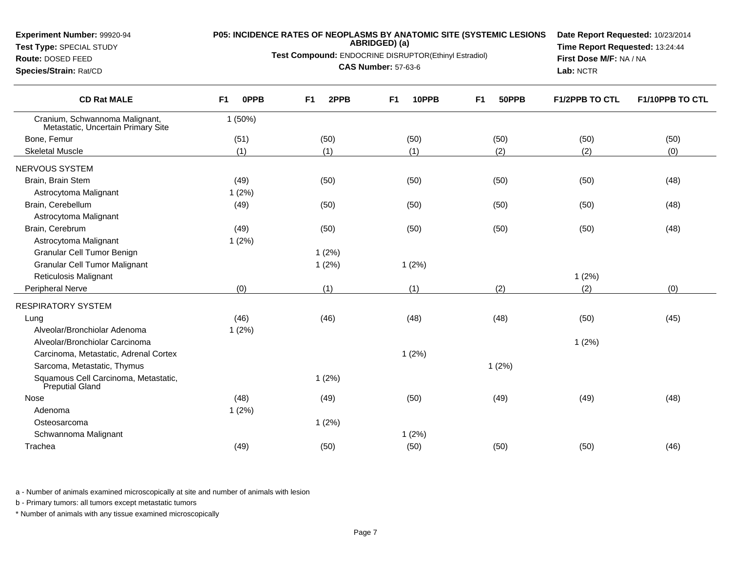### **Test Type:** SPECIAL STUDY

#### **Route:** DOSED FEED

**Species/Strain:** Rat/CD

# **P05: INCIDENCE RATES OF NEOPLASMS BY ANATOMIC SITE (SYSTEMIC LESIONS ABRIDGED) (a)**

**Test Compound:** ENDOCRINE DISRUPTOR(Ethinyl Estradiol)

**CAS Number:** 57-63-6

**Date Report Requested:** 10/23/2014**Time Report Requested:** 13:24:44**First Dose M/F:** NA / NA**Lab:** NCTR

| (50)  |      |
|-------|------|
|       |      |
|       | (50) |
| (2)   | (0)  |
|       |      |
| (50)  | (48) |
|       |      |
| (50)  | (48) |
|       |      |
| (50)  | (48) |
|       |      |
|       |      |
|       |      |
| 1(2%) |      |
| (2)   | (0)  |
|       |      |
| (50)  | (45) |
|       |      |
| 1(2%) |      |
|       |      |
|       |      |
|       |      |
| (49)  | (48) |
|       |      |
|       |      |
|       |      |
| (50)  | (46) |
|       |      |

a - Number of animals examined microscopically at site and number of animals with lesion

b - Primary tumors: all tumors except metastatic tumors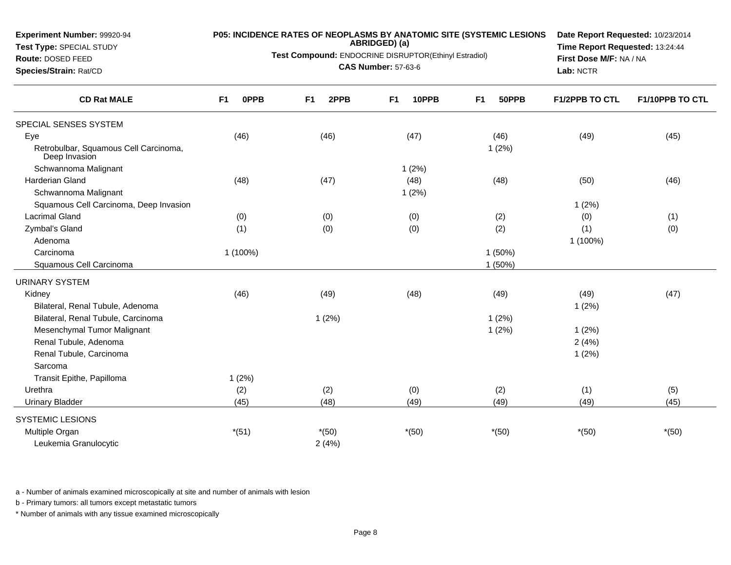**Test Type:** SPECIAL STUDY

**Route:** DOSED FEED**Species/Strain:** Rat/CD

# **P05: INCIDENCE RATES OF NEOPLASMS BY ANATOMIC SITE (SYSTEMIC LESIONS ABRIDGED) (a)**

**Test Compound:** ENDOCRINE DISRUPTOR(Ethinyl Estradiol)

**CAS Number:** 57-63-6

**Date Report Requested:** 10/23/2014**Time Report Requested:** 13:24:44**First Dose M/F:** NA / NA**Lab:** NCTR

| <b>CD Rat MALE</b>                                     | 0PPB<br>F <sub>1</sub> | 2PPB<br>F <sub>1</sub> | 10PPB<br>F <sub>1</sub> | F <sub>1</sub><br>50PPB | <b>F1/2PPB TO CTL</b> | F1/10PPB TO CTL |
|--------------------------------------------------------|------------------------|------------------------|-------------------------|-------------------------|-----------------------|-----------------|
| SPECIAL SENSES SYSTEM                                  |                        |                        |                         |                         |                       |                 |
| Eye                                                    | (46)                   | (46)                   | (47)                    | (46)                    | (49)                  | (45)            |
| Retrobulbar, Squamous Cell Carcinoma,<br>Deep Invasion |                        |                        |                         | 1(2%)                   |                       |                 |
| Schwannoma Malignant                                   |                        |                        | 1(2%)                   |                         |                       |                 |
| <b>Harderian Gland</b>                                 | (48)                   | (47)                   | (48)                    | (48)                    | (50)                  | (46)            |
| Schwannoma Malignant                                   |                        |                        | 1(2%)                   |                         |                       |                 |
| Squamous Cell Carcinoma, Deep Invasion                 |                        |                        |                         |                         | 1(2%)                 |                 |
| <b>Lacrimal Gland</b>                                  | (0)                    | (0)                    | (0)                     | (2)                     | (0)                   | (1)             |
| Zymbal's Gland                                         | (1)                    | (0)                    | (0)                     | (2)                     | (1)                   | (0)             |
| Adenoma                                                |                        |                        |                         |                         | 1 (100%)              |                 |
| Carcinoma                                              | 1 (100%)               |                        |                         | 1(50%)                  |                       |                 |
| Squamous Cell Carcinoma                                |                        |                        |                         | 1 (50%)                 |                       |                 |
| <b>URINARY SYSTEM</b>                                  |                        |                        |                         |                         |                       |                 |
| Kidney                                                 | (46)                   | (49)                   | (48)                    | (49)                    | (49)                  | (47)            |
| Bilateral, Renal Tubule, Adenoma                       |                        |                        |                         |                         | 1(2%)                 |                 |
| Bilateral, Renal Tubule, Carcinoma                     |                        | 1(2%)                  |                         | 1(2%)                   |                       |                 |
| Mesenchymal Tumor Malignant                            |                        |                        |                         | 1(2%)                   | 1(2%)                 |                 |
| Renal Tubule, Adenoma                                  |                        |                        |                         |                         | 2(4%)                 |                 |
| Renal Tubule, Carcinoma                                |                        |                        |                         |                         | 1(2%)                 |                 |
| Sarcoma                                                |                        |                        |                         |                         |                       |                 |
| Transit Epithe, Papilloma                              | 1(2%)                  |                        |                         |                         |                       |                 |
| Urethra                                                | (2)                    | (2)                    | (0)                     | (2)                     | (1)                   | (5)             |
| <b>Urinary Bladder</b>                                 | (45)                   | (48)                   | (49)                    | (49)                    | (49)                  | (45)            |
| <b>SYSTEMIC LESIONS</b>                                |                        |                        |                         |                         |                       |                 |
| Multiple Organ                                         | $*(51)$                | $*(50)$                | $*(50)$                 | $*(50)$                 | $*(50)$               | $*(50)$         |
| Leukemia Granulocytic                                  |                        | 2(4%)                  |                         |                         |                       |                 |

a - Number of animals examined microscopically at site and number of animals with lesion

b - Primary tumors: all tumors except metastatic tumors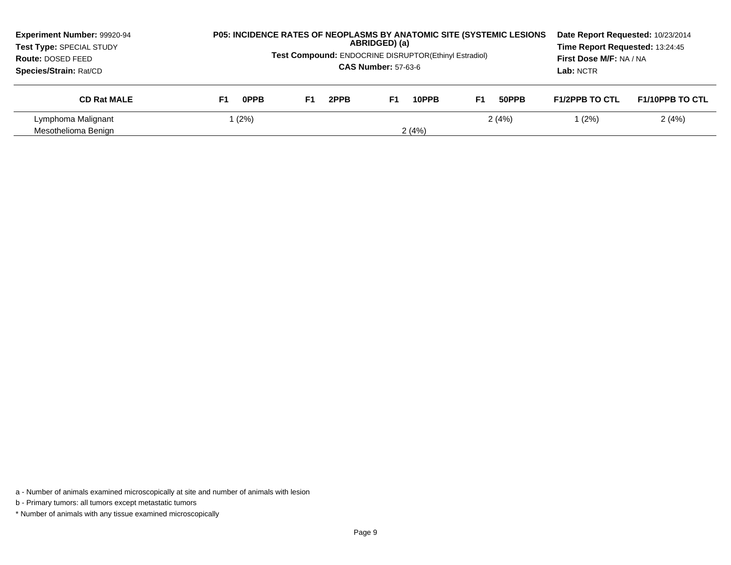| <b>Experiment Number: 99920-94</b><br>Test Type: SPECIAL STUDY<br>Route: DOSED FEED<br><b>Species/Strain: Rat/CD</b> |            | <b>P05: INCIDENCE RATES OF NEOPLASMS BY ANATOMIC SITE (SYSTEMIC LESIONS)</b><br>ABRIDGED) (a)<br><b>Test Compound: ENDOCRINE DISRUPTOR(Ethinyl Estradiol)</b><br><b>CAS Number: 57-63-6</b> |             | Date Report Requested: 10/23/2014<br>Time Report Requested: 13:24:45<br>First Dose M/F: NA / NA<br>Lab: NCTR |                       |                        |
|----------------------------------------------------------------------------------------------------------------------|------------|---------------------------------------------------------------------------------------------------------------------------------------------------------------------------------------------|-------------|--------------------------------------------------------------------------------------------------------------|-----------------------|------------------------|
| <b>CD Rat MALE</b>                                                                                                   | 0PPB<br>F1 | 2PPB<br>F1                                                                                                                                                                                  | F1<br>10PPB | 50PPB<br>F1                                                                                                  | <b>F1/2PPB TO CTL</b> | <b>F1/10PPB TO CTL</b> |
| Lymphoma Malignant<br>Mesothelioma Benign                                                                            | (2%)       |                                                                                                                                                                                             | 2(4%)       | 2(4%)                                                                                                        | (2%)                  | 2(4%)                  |

a - Number of animals examined microscopically at site and number of animals with lesion

b - Primary tumors: all tumors except metastatic tumors

\* Number of animals with any tissue examined microscopically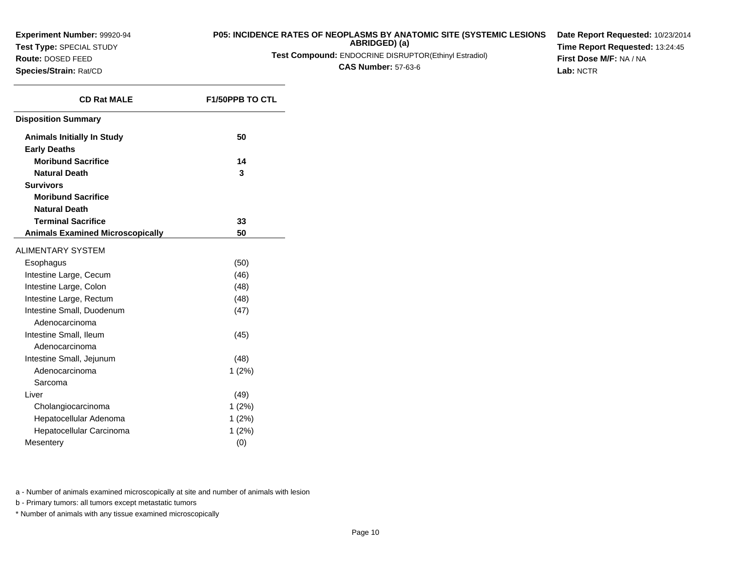**Test Type:** SPECIAL STUDY

**Route:** DOSED FEED**Species/Strain:** Rat/CD

## **P05: INCIDENCE RATES OF NEOPLASMS BY ANATOMIC SITE (SYSTEMIC LESIONS**

**ABRIDGED) (a)**

**Test Compound:** ENDOCRINE DISRUPTOR(Ethinyl Estradiol)

**CAS Number:** 57-63-6

**Date Report Requested:** 10/23/2014**Time Report Requested:** 13:24:45**First Dose M/F:** NA / NA**Lab:** NCTR

| <b>CD Rat MALE</b>                      | <b>F1/50PPB TO CTL</b> |
|-----------------------------------------|------------------------|
| <b>Disposition Summary</b>              |                        |
| <b>Animals Initially In Study</b>       | 50                     |
| <b>Early Deaths</b>                     |                        |
| <b>Moribund Sacrifice</b>               | 14                     |
| <b>Natural Death</b>                    | 3                      |
| <b>Survivors</b>                        |                        |
| <b>Moribund Sacrifice</b>               |                        |
| <b>Natural Death</b>                    |                        |
| <b>Terminal Sacrifice</b>               | 33                     |
| <b>Animals Examined Microscopically</b> | 50                     |
| <b>ALIMENTARY SYSTEM</b>                |                        |
| Esophagus                               | (50)                   |
| Intestine Large, Cecum                  | (46)                   |
| Intestine Large, Colon                  | (48)                   |
| Intestine Large, Rectum                 | (48)                   |
| Intestine Small, Duodenum               | (47)                   |
| Adenocarcinoma                          |                        |
| Intestine Small, Ileum                  | (45)                   |
| Adenocarcinoma                          |                        |
| Intestine Small, Jejunum                | (48)                   |
| Adenocarcinoma                          | 1(2%)                  |
| Sarcoma                                 |                        |
| Liver                                   | (49)                   |
| Cholangiocarcinoma                      | 1(2%)                  |
| Hepatocellular Adenoma                  | 1(2%)                  |
| Hepatocellular Carcinoma                | 1(2%)                  |
| Mesentery                               | (0)                    |

a - Number of animals examined microscopically at site and number of animals with lesion

b - Primary tumors: all tumors except metastatic tumors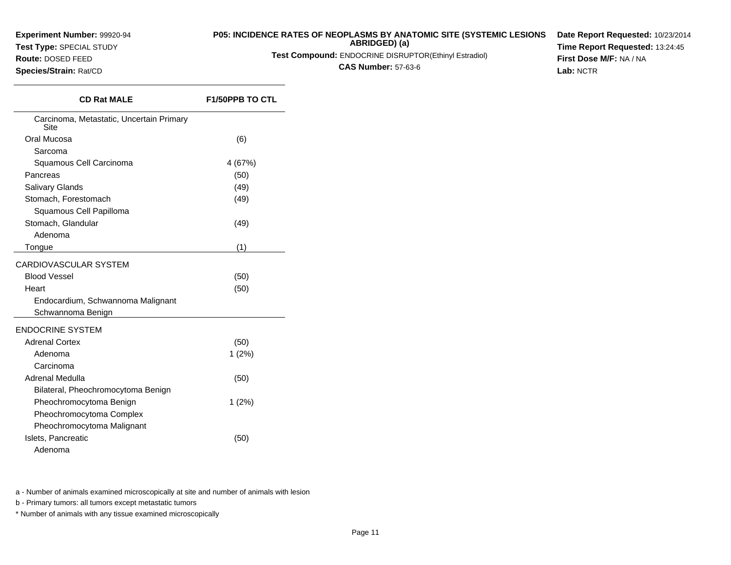**Test Type:** SPECIAL STUDY

### **Route:** DOSED FEED

**Species/Strain:** Rat/CD

### **P05: INCIDENCE RATES OF NEOPLASMS BY ANATOMIC SITE (SYSTEMIC LESIONSABRIDGED) (a)**

**Test Compound:** ENDOCRINE DISRUPTOR(Ethinyl Estradiol)

**CAS Number:** 57-63-6

**Date Report Requested:** 10/23/2014**Time Report Requested:** 13:24:45**First Dose M/F:** NA / NA**Lab:** NCTR

| <b>CD Rat MALE</b>                               | <b>F1/50PPB TO CTL</b> |
|--------------------------------------------------|------------------------|
| Carcinoma, Metastatic, Uncertain Primary<br>Site |                        |
| Oral Mucosa                                      | (6)                    |
| Sarcoma                                          |                        |
| Squamous Cell Carcinoma                          | 4 (67%)                |
| Pancreas                                         | (50)                   |
| Salivary Glands                                  | (49)                   |
| Stomach, Forestomach                             | (49)                   |
| Squamous Cell Papilloma                          |                        |
| Stomach, Glandular                               | (49)                   |
| Adenoma                                          |                        |
| Tongue                                           | (1)                    |
| <b>CARDIOVASCULAR SYSTEM</b>                     |                        |
| <b>Blood Vessel</b>                              | (50)                   |
| Heart                                            | (50)                   |
| Endocardium, Schwannoma Malignant                |                        |
| Schwannoma Benign                                |                        |
| <b>ENDOCRINE SYSTEM</b>                          |                        |
| <b>Adrenal Cortex</b>                            | (50)                   |
| Adenoma                                          | 1(2%)                  |
| Carcinoma                                        |                        |
| Adrenal Medulla                                  | (50)                   |
| Bilateral, Pheochromocytoma Benign               |                        |
| Pheochromocytoma Benign                          | 1(2%)                  |
| Pheochromocytoma Complex                         |                        |
| Pheochromocytoma Malignant                       |                        |
| Islets, Pancreatic                               | (50)                   |
| Adenoma                                          |                        |

a - Number of animals examined microscopically at site and number of animals with lesion

b - Primary tumors: all tumors except metastatic tumors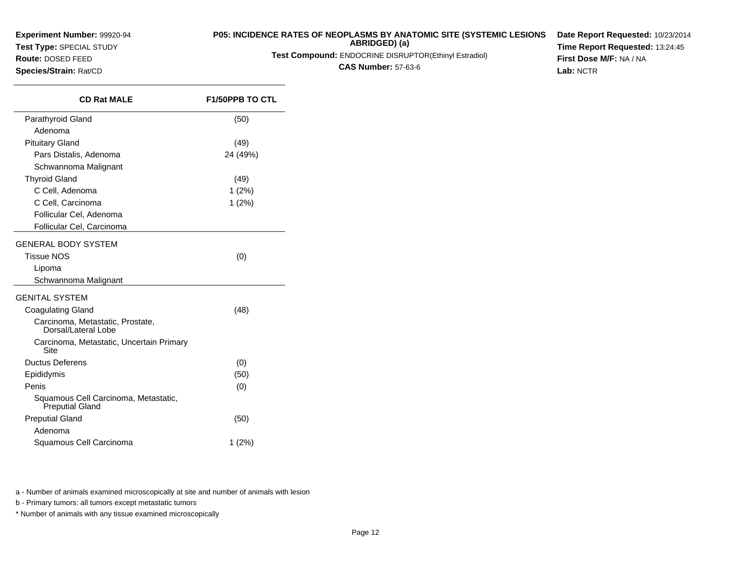**Test Type:** SPECIAL STUDY**Route:** DOSED FEED

**Species/Strain:** Rat/CD

### **P05: INCIDENCE RATES OF NEOPLASMS BY ANATOMIC SITE (SYSTEMIC LESIONSABRIDGED) (a)**

**Test Compound:** ENDOCRINE DISRUPTOR(Ethinyl Estradiol)

**CAS Number:** 57-63-6

**Date Report Requested:** 10/23/2014**Time Report Requested:** 13:24:45**First Dose M/F:** NA / NA**Lab:** NCTR

| <b>CD Rat MALE</b>                                      | <b>F1/50PPB TO CTL</b> |
|---------------------------------------------------------|------------------------|
| Parathyroid Gland                                       | (50)                   |
| Adenoma                                                 |                        |
| <b>Pituitary Gland</b>                                  | (49)                   |
| Pars Distalis, Adenoma                                  | 24 (49%)               |
| Schwannoma Malignant                                    |                        |
| <b>Thyroid Gland</b>                                    | (49)                   |
| C Cell, Adenoma                                         | 1(2%)                  |
| C Cell, Carcinoma                                       | 1(2%)                  |
| Follicular Cel, Adenoma                                 |                        |
| Follicular Cel, Carcinoma                               |                        |
| GENERAL BODY SYSTEM                                     |                        |
| <b>Tissue NOS</b>                                       | (0)                    |
| Lipoma                                                  |                        |
| Schwannoma Malignant                                    |                        |
| GENITAL SYSTEM                                          |                        |
| <b>Coagulating Gland</b>                                | (48)                   |
| Carcinoma, Metastatic, Prostate,<br>Dorsal/Lateral Lobe |                        |
| Carcinoma, Metastatic, Uncertain Primary<br>Site        |                        |
| <b>Ductus Deferens</b>                                  | (0)                    |
| Epididymis                                              | (50)                   |
| Penis                                                   | (0)                    |
| Squamous Cell Carcinoma, Metastatic,<br>Preputial Gland |                        |
| <b>Preputial Gland</b>                                  | (50)                   |
| Adenoma                                                 |                        |
| Squamous Cell Carcinoma                                 | 1(2%)                  |
|                                                         |                        |

a - Number of animals examined microscopically at site and number of animals with lesion

b - Primary tumors: all tumors except metastatic tumors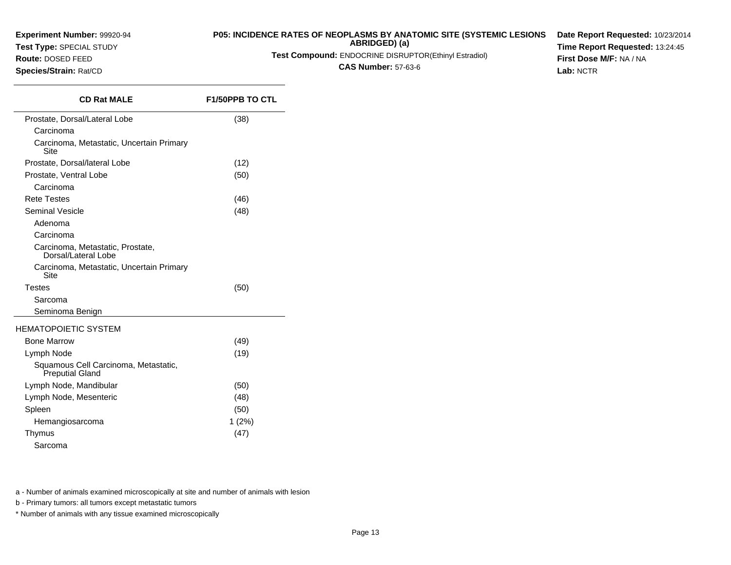## **Test Type:** SPECIAL STUDY

### **Route:** DOSED FEED

**Species/Strain:** Rat/CD

### **P05: INCIDENCE RATES OF NEOPLASMS BY ANATOMIC SITE (SYSTEMIC LESIONS**

**ABRIDGED) (a)**

**Test Compound:** ENDOCRINE DISRUPTOR(Ethinyl Estradiol)

**CAS Number:** 57-63-6

**Date Report Requested:** 10/23/2014**Time Report Requested:** 13:24:45**First Dose M/F:** NA / NA**Lab:** NCTR

| <b>CD Rat MALE</b>                                             | <b>F1/50PPB TO CTL</b> |
|----------------------------------------------------------------|------------------------|
| Prostate, Dorsal/Lateral Lobe                                  | (38)                   |
| Carcinoma                                                      |                        |
| Carcinoma, Metastatic, Uncertain Primary<br>Site               |                        |
| Prostate, Dorsal/lateral Lobe                                  | (12)                   |
| Prostate, Ventral Lobe                                         | (50)                   |
| Carcinoma                                                      |                        |
| <b>Rete Testes</b>                                             | (46)                   |
| Seminal Vesicle                                                | (48)                   |
| Adenoma                                                        |                        |
| Carcinoma                                                      |                        |
| Carcinoma, Metastatic, Prostate,<br>Dorsal/Lateral Lobe        |                        |
| Carcinoma, Metastatic, Uncertain Primary<br>Site               |                        |
| <b>Testes</b>                                                  | (50)                   |
| Sarcoma                                                        |                        |
| Seminoma Benign                                                |                        |
| <b>HEMATOPOIETIC SYSTEM</b>                                    |                        |
| <b>Bone Marrow</b>                                             | (49)                   |
| Lymph Node                                                     | (19)                   |
| Squamous Cell Carcinoma, Metastatic,<br><b>Preputial Gland</b> |                        |
| Lymph Node, Mandibular                                         | (50)                   |
| Lymph Node, Mesenteric                                         | (48)                   |
| Spleen                                                         | (50)                   |
| Hemangiosarcoma                                                | $1(2\%)$               |
| Thymus                                                         | (47)                   |
| Sarcoma                                                        |                        |

a - Number of animals examined microscopically at site and number of animals with lesion

b - Primary tumors: all tumors except metastatic tumors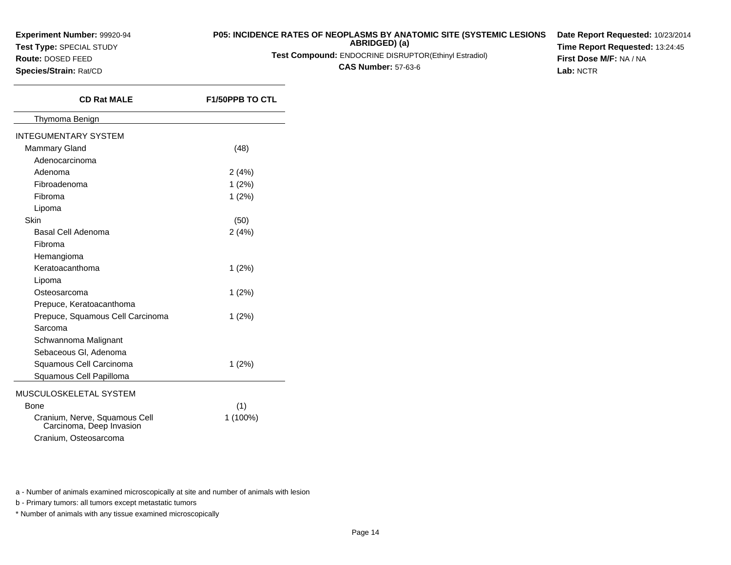**Test Type:** SPECIAL STUDY

### **Route:** DOSED FEED

**Species/Strain:** Rat/CD

### **P05: INCIDENCE RATES OF NEOPLASMS BY ANATOMIC SITE (SYSTEMIC LESIONSABRIDGED) (a)**

**Test Compound:** ENDOCRINE DISRUPTOR(Ethinyl Estradiol)

**CAS Number:** 57-63-6

**Date Report Requested:** 10/23/2014**Time Report Requested:** 13:24:45**First Dose M/F:** NA / NA**Lab:** NCTR

| <b>CD Rat MALE</b>                                        | <b>F1/50PPB TO CTL</b> |  |  |  |
|-----------------------------------------------------------|------------------------|--|--|--|
| Thymoma Benign                                            |                        |  |  |  |
| <b>INTEGUMENTARY SYSTEM</b>                               |                        |  |  |  |
| <b>Mammary Gland</b>                                      | (48)                   |  |  |  |
| Adenocarcinoma                                            |                        |  |  |  |
| Adenoma                                                   | 2(4%)                  |  |  |  |
| Fibroadenoma                                              | 1(2%)                  |  |  |  |
| Fibroma                                                   | 1(2%)                  |  |  |  |
| Lipoma                                                    |                        |  |  |  |
| Skin                                                      | (50)                   |  |  |  |
| Basal Cell Adenoma                                        | 2(4%)                  |  |  |  |
| Fibroma                                                   |                        |  |  |  |
| Hemangioma                                                |                        |  |  |  |
| Keratoacanthoma                                           | 1(2%)                  |  |  |  |
| Lipoma                                                    |                        |  |  |  |
| Osteosarcoma                                              | $1(2\%)$               |  |  |  |
| Prepuce, Keratoacanthoma                                  |                        |  |  |  |
| Prepuce, Squamous Cell Carcinoma                          | $1(2\%)$               |  |  |  |
| Sarcoma                                                   |                        |  |  |  |
| Schwannoma Malignant                                      |                        |  |  |  |
| Sebaceous GI, Adenoma                                     |                        |  |  |  |
| Squamous Cell Carcinoma                                   | 1(2%)                  |  |  |  |
| Squamous Cell Papilloma                                   |                        |  |  |  |
| MUSCULOSKELETAL SYSTEM                                    |                        |  |  |  |
| Bone                                                      | (1)                    |  |  |  |
| Cranium, Nerve, Squamous Cell<br>Carcinoma, Deep Invasion | 1 (100%)               |  |  |  |
| Cranium, Osteosarcoma                                     |                        |  |  |  |

a - Number of animals examined microscopically at site and number of animals with lesion

b - Primary tumors: all tumors except metastatic tumors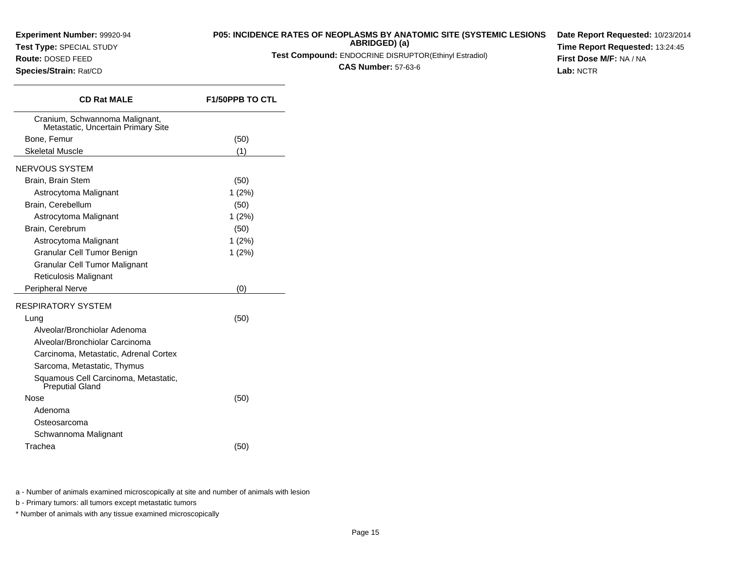**Test Type:** SPECIAL STUDY

# **P05: INCIDENCE RATES OF NEOPLASMS BY ANATOMIC SITE (SYSTEMIC LESIONS ABRIDGED) (a)**

**Test Compound:** ENDOCRINE DISRUPTOR(Ethinyl Estradiol)

**CAS Number:** 57-63-6

**Date Report Requested:** 10/23/2014**Time Report Requested:** 13:24:45**First Dose M/F:** NA / NA**Lab:** NCTR

| Species/Strain: Rat/CD |  |  |  |  |  |
|------------------------|--|--|--|--|--|
|------------------------|--|--|--|--|--|

**Route:** DOSED FEED

| <b>CD Rat MALE</b>                                                   | <b>F1/50PPB TO CTL</b> |  |  |  |  |
|----------------------------------------------------------------------|------------------------|--|--|--|--|
| Cranium, Schwannoma Malignant,<br>Metastatic, Uncertain Primary Site |                        |  |  |  |  |
| Bone, Femur                                                          | (50)                   |  |  |  |  |
| <b>Skeletal Muscle</b>                                               | (1)                    |  |  |  |  |
| NERVOUS SYSTEM                                                       |                        |  |  |  |  |
| Brain, Brain Stem                                                    | (50)                   |  |  |  |  |
| Astrocytoma Malignant                                                | $1(2\%)$               |  |  |  |  |
| Brain, Cerebellum                                                    | (50)                   |  |  |  |  |
| Astrocytoma Malignant                                                | $1(2\%)$               |  |  |  |  |
| Brain, Cerebrum                                                      | (50)                   |  |  |  |  |
| Astrocytoma Malignant                                                | $1(2\%)$               |  |  |  |  |
| Granular Cell Tumor Benign                                           | $1(2\%)$               |  |  |  |  |
| Granular Cell Tumor Malignant                                        |                        |  |  |  |  |
| <b>Reticulosis Malignant</b>                                         |                        |  |  |  |  |
| <b>Peripheral Nerve</b>                                              | (0)                    |  |  |  |  |
| RESPIRATORY SYSTEM                                                   |                        |  |  |  |  |
| Lung                                                                 | (50)                   |  |  |  |  |
| Alveolar/Bronchiolar Adenoma                                         |                        |  |  |  |  |
| Alveolar/Bronchiolar Carcinoma                                       |                        |  |  |  |  |
| Carcinoma, Metastatic, Adrenal Cortex                                |                        |  |  |  |  |
| Sarcoma, Metastatic, Thymus                                          |                        |  |  |  |  |
| Squamous Cell Carcinoma, Metastatic,<br><b>Preputial Gland</b>       |                        |  |  |  |  |
| Nose                                                                 | (50)                   |  |  |  |  |
| Adenoma                                                              |                        |  |  |  |  |
| Osteosarcoma                                                         |                        |  |  |  |  |
| Schwannoma Malignant                                                 |                        |  |  |  |  |
| Trachea                                                              | (50)                   |  |  |  |  |
|                                                                      |                        |  |  |  |  |

a - Number of animals examined microscopically at site and number of animals with lesion

b - Primary tumors: all tumors except metastatic tumors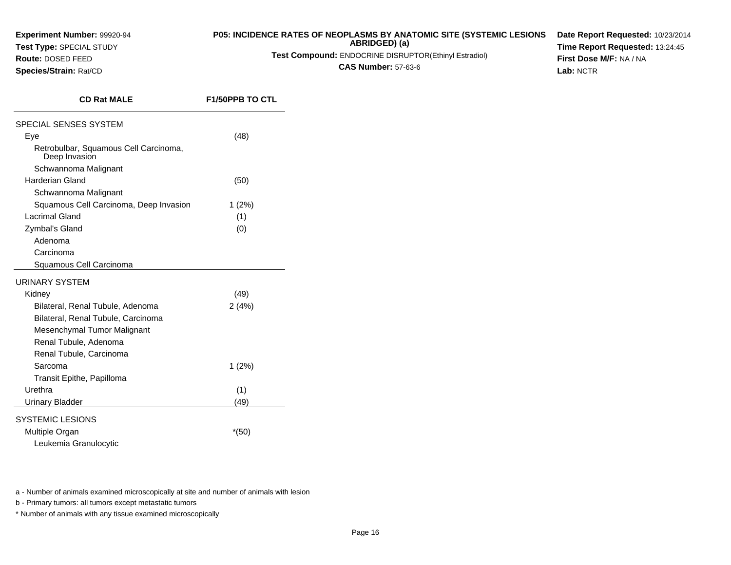**Test Type:** SPECIAL STUDY

**Route:** DOSED FEED**Species/Strain:** Rat/CD

## **P05: INCIDENCE RATES OF NEOPLASMS BY ANATOMIC SITE (SYSTEMIC LESIONS**

**ABRIDGED) (a)**

**Test Compound:** ENDOCRINE DISRUPTOR(Ethinyl Estradiol)

**CAS Number:** 57-63-6

**Date Report Requested:** 10/23/2014**Time Report Requested:** 13:24:45**First Dose M/F:** NA / NA**Lab:** NCTR

| <b>CD Rat MALE</b>                                     | <b>F1/50PPB TO CTL</b> |
|--------------------------------------------------------|------------------------|
| SPECIAL SENSES SYSTEM                                  |                        |
| Eye                                                    | (48)                   |
| Retrobulbar, Squamous Cell Carcinoma,<br>Deep Invasion |                        |
| Schwannoma Malignant                                   |                        |
| <b>Harderian Gland</b>                                 | (50)                   |
| Schwannoma Malignant                                   |                        |
| Squamous Cell Carcinoma, Deep Invasion                 | $1(2\%)$               |
| <b>Lacrimal Gland</b>                                  | (1)                    |
| Zymbal's Gland                                         | (0)                    |
| Adenoma                                                |                        |
| Carcinoma                                              |                        |
| Squamous Cell Carcinoma                                |                        |
| URINARY SYSTEM                                         |                        |
| Kidney                                                 | (49)                   |
| Bilateral, Renal Tubule, Adenoma                       | 2(4%)                  |
| Bilateral, Renal Tubule, Carcinoma                     |                        |
| Mesenchymal Tumor Malignant                            |                        |
| Renal Tubule, Adenoma                                  |                        |
| Renal Tubule, Carcinoma                                |                        |
| Sarcoma                                                | 1(2%)                  |
| Transit Epithe, Papilloma                              |                        |
| Urethra                                                | (1)                    |
| Urinary Bladder                                        | (49)                   |
| SYSTEMIC LESIONS                                       |                        |
|                                                        |                        |
| Multiple Organ                                         | $*(50)$                |
| Leukemia Granulocytic                                  |                        |

a - Number of animals examined microscopically at site and number of animals with lesion

b - Primary tumors: all tumors except metastatic tumors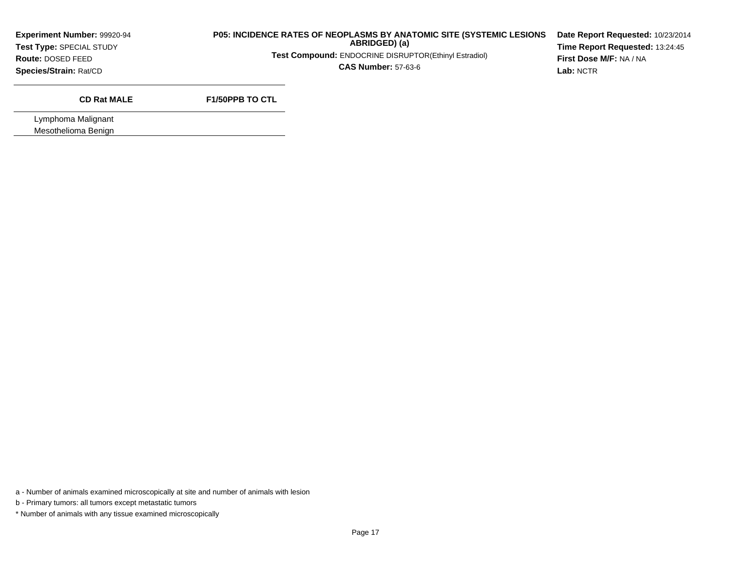**Test Type:** SPECIAL STUDY

### **P05: INCIDENCE RATES OF NEOPLASMS BY ANATOMIC SITE (SYSTEMIC LESIONSABRIDGED) (a)**

**Test Compound:** ENDOCRINE DISRUPTOR(Ethinyl Estradiol)

**CAS Number:** 57-63-6

**Date Report Requested:** 10/23/2014**Time Report Requested:** 13:24:45**First Dose M/F:** NA / NA**Lab:** NCTR

**Route:** DOSED FEED**Species/Strain:** Rat/CD

## **CD Rat MALE**

**F1/50PPB TO CTL**

Lymphoma MalignantMesothelioma Benign

a - Number of animals examined microscopically at site and number of animals with lesion

b - Primary tumors: all tumors except metastatic tumors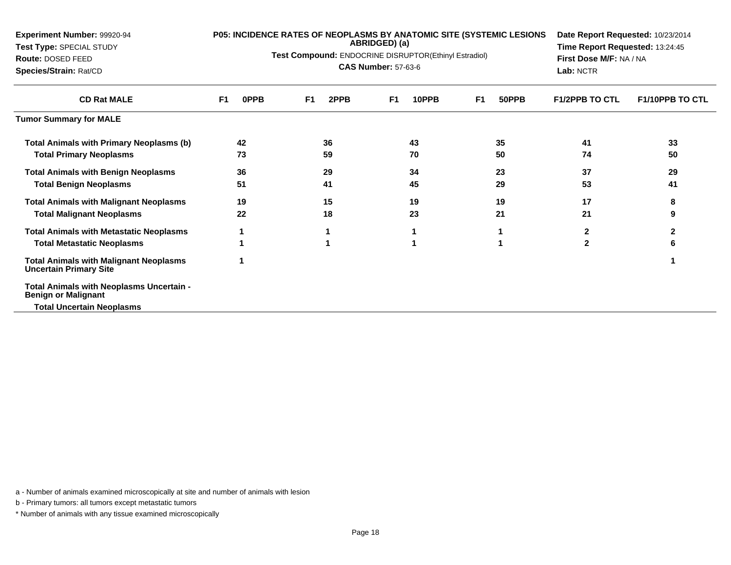| Experiment Number: 99920-94<br>Test Type: SPECIAL STUDY                        |                        | P05: INCIDENCE RATES OF NEOPLASMS BY ANATOMIC SITE (SYSTEMIC LESIONS<br>ABRIDGED) (a)<br>Test Compound: ENDOCRINE DISRUPTOR(Ethinyl Estradiol) | Date Report Requested: 10/23/2014<br>Time Report Requested: 13:24:45<br>First Dose M/F: NA / NA<br>Lab: NCTR |                         |                       |                        |
|--------------------------------------------------------------------------------|------------------------|------------------------------------------------------------------------------------------------------------------------------------------------|--------------------------------------------------------------------------------------------------------------|-------------------------|-----------------------|------------------------|
| Route: DOSED FEED<br>Species/Strain: Rat/CD                                    |                        | <b>CAS Number: 57-63-6</b>                                                                                                                     |                                                                                                              |                         |                       |                        |
| <b>CD Rat MALE</b>                                                             | 0PPB<br>F <sub>1</sub> | F <sub>1</sub><br>2PPB                                                                                                                         | 10PPB<br>F <sub>1</sub>                                                                                      | F <sub>1</sub><br>50PPB | <b>F1/2PPB TO CTL</b> | <b>F1/10PPB TO CTL</b> |
| <b>Tumor Summary for MALE</b>                                                  |                        |                                                                                                                                                |                                                                                                              |                         |                       |                        |
| <b>Total Animals with Primary Neoplasms (b)</b>                                | 42                     | 36                                                                                                                                             | 43                                                                                                           | 35                      | 41                    | 33                     |
| <b>Total Primary Neoplasms</b>                                                 | 73                     | 59                                                                                                                                             | 70                                                                                                           | 50                      | 74                    | 50                     |
| <b>Total Animals with Benign Neoplasms</b>                                     | 36                     | 29                                                                                                                                             | 34                                                                                                           | 23                      | 37                    | 29                     |
| <b>Total Benign Neoplasms</b>                                                  | 51                     | 41                                                                                                                                             | 45                                                                                                           | 29                      | 53                    | 41                     |
| <b>Total Animals with Malignant Neoplasms</b>                                  | 19                     | 15                                                                                                                                             | 19                                                                                                           | 19                      | 17                    | 8                      |
| <b>Total Malignant Neoplasms</b>                                               | 22                     | 18                                                                                                                                             | 23                                                                                                           | 21                      | 21                    | 9                      |
| <b>Total Animals with Metastatic Neoplasms</b>                                 |                        |                                                                                                                                                |                                                                                                              |                         | $\mathbf{2}$          | 2                      |
| <b>Total Metastatic Neoplasms</b>                                              |                        |                                                                                                                                                |                                                                                                              |                         | $\mathbf{2}$          | 6                      |
| <b>Total Animals with Malignant Neoplasms</b><br><b>Uncertain Primary Site</b> |                        |                                                                                                                                                |                                                                                                              |                         |                       |                        |
| Total Animals with Neoplasms Uncertain -<br><b>Benign or Malignant</b>         |                        |                                                                                                                                                |                                                                                                              |                         |                       |                        |
| Total Uncertain Neoplasms                                                      |                        |                                                                                                                                                |                                                                                                              |                         |                       |                        |

a - Number of animals examined microscopically at site and number of animals with lesion

b - Primary tumors: all tumors except metastatic tumors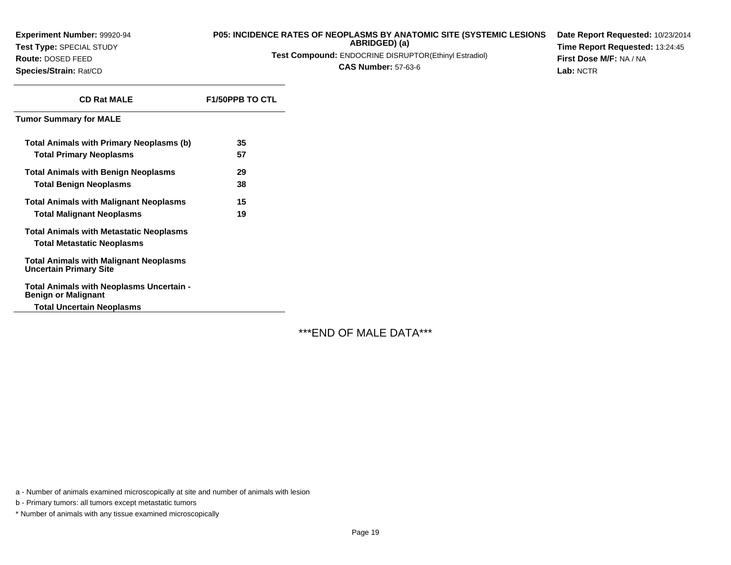**Experiment Number:** 99920-94**Test Type:** SPECIAL STUDY**Route:** DOSED FEED

**Species/Strain:** Rat/CD

### **P05: INCIDENCE RATES OF NEOPLASMS BY ANATOMIC SITE (SYSTEMIC LESIONSABRIDGED) (a)**

**Test Compound:** ENDOCRINE DISRUPTOR(Ethinyl Estradiol)

**CAS Number:** 57-63-6

**Date Report Requested:** 10/23/2014**Time Report Requested:** 13:24:45**First Dose M/F:** NA / NA**Lab:** NCTR

| <b>CD Rat MALE</b>                                                             | <b>F1/50PPB TO CTL</b> |
|--------------------------------------------------------------------------------|------------------------|
| Tumor Summary for MALE                                                         |                        |
| Total Animals with Primary Neoplasms (b)                                       | 35                     |
| <b>Total Primary Neoplasms</b>                                                 | 57                     |
| <b>Total Animals with Benign Neoplasms</b>                                     | 29                     |
| <b>Total Benign Neoplasms</b>                                                  | 38                     |
| <b>Total Animals with Malignant Neoplasms</b>                                  | 15                     |
| <b>Total Malignant Neoplasms</b>                                               | 19                     |
| <b>Total Animals with Metastatic Neoplasms</b>                                 |                        |
| <b>Total Metastatic Neoplasms</b>                                              |                        |
| <b>Total Animals with Malignant Neoplasms</b><br><b>Uncertain Primary Site</b> |                        |
| Total Animals with Neoplasms Uncertain -<br><b>Benign or Malignant</b>         |                        |
|                                                                                |                        |

**Total Uncertain Neoplasms**

\*\*\*END OF MALE DATA\*\*\*

a - Number of animals examined microscopically at site and number of animals with lesion

b - Primary tumors: all tumors except metastatic tumors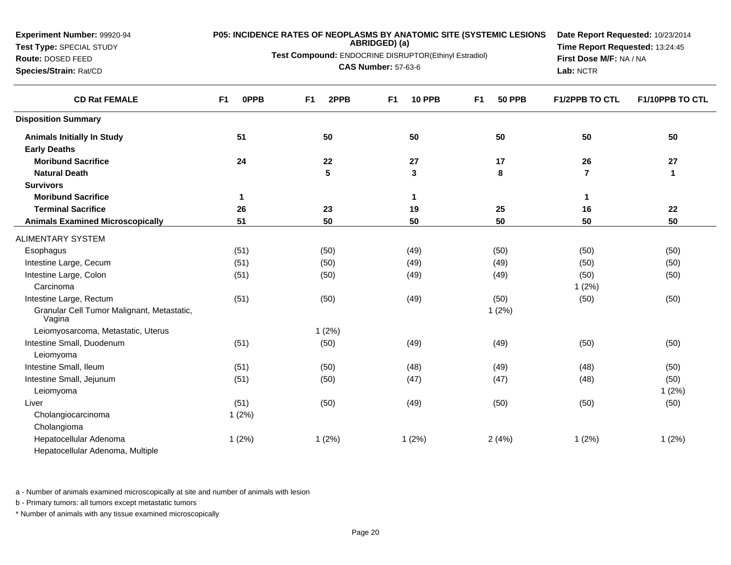**Experiment Number:** 99920-94**Test Type:** SPECIAL STUDY

**Route:** DOSED FEED

**Species/Strain:** Rat/CD

# **P05: INCIDENCE RATES OF NEOPLASMS BY ANATOMIC SITE (SYSTEMIC LESIONS ABRIDGED) (a)**

**Test Compound:** ENDOCRINE DISRUPTOR(Ethinyl Estradiol)

**CAS Number:** 57-63-6

**Date Report Requested:** 10/23/2014**Time Report Requested:** 13:24:45**First Dose M/F:** NA / NA**Lab:** NCTR

| <b>CD Rat FEMALE</b>                                 | 0PPB<br>F <sub>1</sub> | 2PPB<br>F <sub>1</sub> | <b>10 PPB</b><br>F <sub>1</sub> | <b>50 PPB</b><br>F <sub>1</sub> | <b>F1/2PPB TO CTL</b> | F1/10PPB TO CTL |
|------------------------------------------------------|------------------------|------------------------|---------------------------------|---------------------------------|-----------------------|-----------------|
| <b>Disposition Summary</b>                           |                        |                        |                                 |                                 |                       |                 |
| <b>Animals Initially In Study</b>                    | 51                     | 50                     | 50                              | 50                              | 50                    | 50              |
| <b>Early Deaths</b>                                  |                        |                        |                                 |                                 |                       |                 |
| <b>Moribund Sacrifice</b>                            | 24                     | 22                     | 27                              | 17                              | 26                    | 27              |
| <b>Natural Death</b>                                 |                        | 5                      | $\mathbf{3}$                    | 8                               | $\overline{7}$        | $\mathbf{1}$    |
| <b>Survivors</b>                                     |                        |                        |                                 |                                 |                       |                 |
| <b>Moribund Sacrifice</b>                            | $\mathbf 1$            |                        | $\mathbf{1}$                    |                                 | 1                     |                 |
| <b>Terminal Sacrifice</b>                            | 26                     | 23                     | 19                              | 25                              | 16                    | 22              |
| <b>Animals Examined Microscopically</b>              | 51                     | 50                     | 50                              | 50                              | 50                    | 50              |
| <b>ALIMENTARY SYSTEM</b>                             |                        |                        |                                 |                                 |                       |                 |
| Esophagus                                            | (51)                   | (50)                   | (49)                            | (50)                            | (50)                  | (50)            |
| Intestine Large, Cecum                               | (51)                   | (50)                   | (49)                            | (49)                            | (50)                  | (50)            |
| Intestine Large, Colon                               | (51)                   | (50)                   | (49)                            | (49)                            | (50)                  | (50)            |
| Carcinoma                                            |                        |                        |                                 |                                 | 1(2%)                 |                 |
| Intestine Large, Rectum                              | (51)                   | (50)                   | (49)                            | (50)                            | (50)                  | (50)            |
| Granular Cell Tumor Malignant, Metastatic,<br>Vagina |                        |                        |                                 | 1(2%)                           |                       |                 |
| Leiomyosarcoma, Metastatic, Uterus                   |                        | 1(2%)                  |                                 |                                 |                       |                 |
| Intestine Small, Duodenum                            | (51)                   | (50)                   | (49)                            | (49)                            | (50)                  | (50)            |
| Leiomyoma                                            |                        |                        |                                 |                                 |                       |                 |
| Intestine Small, Ileum                               | (51)                   | (50)                   | (48)                            | (49)                            | (48)                  | (50)            |
| Intestine Small, Jejunum                             | (51)                   | (50)                   | (47)                            | (47)                            | (48)                  | (50)            |
| Leiomyoma                                            |                        |                        |                                 |                                 |                       | 1(2%)           |
| Liver                                                | (51)                   | (50)                   | (49)                            | (50)                            | (50)                  | (50)            |
| Cholangiocarcinoma                                   | 1(2%)                  |                        |                                 |                                 |                       |                 |
| Cholangioma                                          |                        |                        |                                 |                                 |                       |                 |
| Hepatocellular Adenoma                               | 1(2%)                  | 1(2%)                  | 1(2%)                           | 2(4%)                           | 1(2%)                 | 1(2%)           |
| Hepatocellular Adenoma, Multiple                     |                        |                        |                                 |                                 |                       |                 |

a - Number of animals examined microscopically at site and number of animals with lesion

b - Primary tumors: all tumors except metastatic tumors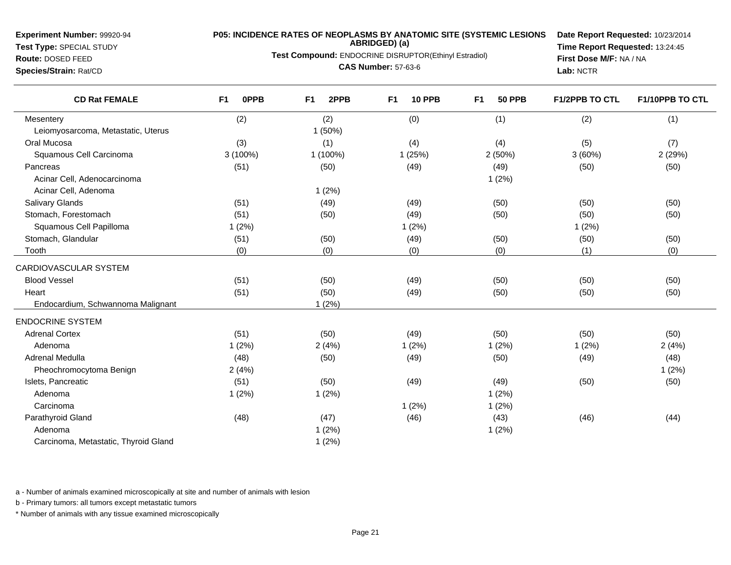**Test Type:** SPECIAL STUDY**Route:** DOSED FEED

**Species/Strain:** Rat/CD

# **P05: INCIDENCE RATES OF NEOPLASMS BY ANATOMIC SITE (SYSTEMIC LESIONS ABRIDGED) (a)**

**Test Compound:** ENDOCRINE DISRUPTOR(Ethinyl Estradiol)

**CAS Number:** 57-63-6

**Date Report Requested:** 10/23/2014**Time Report Requested:** 13:24:45**First Dose M/F:** NA / NA**Lab:** NCTR

| <b>CD Rat FEMALE</b>                 | F <sub>1</sub><br><b>OPPB</b> | 2PPB<br>F <sub>1</sub> | F <sub>1</sub><br><b>10 PPB</b> | F <sub>1</sub><br><b>50 PPB</b> | <b>F1/2PPB TO CTL</b> | F1/10PPB TO CTL |
|--------------------------------------|-------------------------------|------------------------|---------------------------------|---------------------------------|-----------------------|-----------------|
| Mesentery                            | (2)                           | (2)                    | (0)                             | (1)                             | (2)                   | (1)             |
| Leiomyosarcoma, Metastatic, Uterus   |                               | 1(50%)                 |                                 |                                 |                       |                 |
| Oral Mucosa                          | (3)                           | (1)                    | (4)                             | (4)                             | (5)                   | (7)             |
| Squamous Cell Carcinoma              | 3 (100%)                      | 1 (100%)               | 1(25%)                          | 2(50%)                          | 3(60%)                | 2 (29%)         |
| Pancreas                             | (51)                          | (50)                   | (49)                            | (49)                            | (50)                  | (50)            |
| Acinar Cell, Adenocarcinoma          |                               |                        |                                 | 1(2%)                           |                       |                 |
| Acinar Cell, Adenoma                 |                               | 1(2%)                  |                                 |                                 |                       |                 |
| <b>Salivary Glands</b>               | (51)                          | (49)                   | (49)                            | (50)                            | (50)                  | (50)            |
| Stomach, Forestomach                 | (51)                          | (50)                   | (49)                            | (50)                            | (50)                  | (50)            |
| Squamous Cell Papilloma              | 1(2%)                         |                        | 1(2%)                           |                                 | 1(2%)                 |                 |
| Stomach, Glandular                   | (51)                          | (50)                   | (49)                            | (50)                            | (50)                  | (50)            |
| Tooth                                | (0)                           | (0)                    | (0)                             | (0)                             | (1)                   | (0)             |
| CARDIOVASCULAR SYSTEM                |                               |                        |                                 |                                 |                       |                 |
| <b>Blood Vessel</b>                  | (51)                          | (50)                   | (49)                            | (50)                            | (50)                  | (50)            |
| Heart                                | (51)                          | (50)                   | (49)                            | (50)                            | (50)                  | (50)            |
| Endocardium, Schwannoma Malignant    |                               | 1(2%)                  |                                 |                                 |                       |                 |
| <b>ENDOCRINE SYSTEM</b>              |                               |                        |                                 |                                 |                       |                 |
| <b>Adrenal Cortex</b>                | (51)                          | (50)                   | (49)                            | (50)                            | (50)                  | (50)            |
| Adenoma                              | 1(2%)                         | 2(4%)                  | 1(2%)                           | 1(2%)                           | 1(2%)                 | 2(4%)           |
| Adrenal Medulla                      | (48)                          | (50)                   | (49)                            | (50)                            | (49)                  | (48)            |
| Pheochromocytoma Benign              | 2(4%)                         |                        |                                 |                                 |                       | 1(2%)           |
| Islets, Pancreatic                   | (51)                          | (50)                   | (49)                            | (49)                            | (50)                  | (50)            |
| Adenoma                              | 1(2%)                         | 1(2%)                  |                                 | 1(2%)                           |                       |                 |
| Carcinoma                            |                               |                        | 1(2%)                           | 1(2%)                           |                       |                 |
| Parathyroid Gland                    | (48)                          | (47)                   | (46)                            | (43)                            | (46)                  | (44)            |
| Adenoma                              |                               | 1(2%)                  |                                 | 1(2%)                           |                       |                 |
| Carcinoma, Metastatic, Thyroid Gland |                               | 1(2%)                  |                                 |                                 |                       |                 |
|                                      |                               |                        |                                 |                                 |                       |                 |

a - Number of animals examined microscopically at site and number of animals with lesion

b - Primary tumors: all tumors except metastatic tumors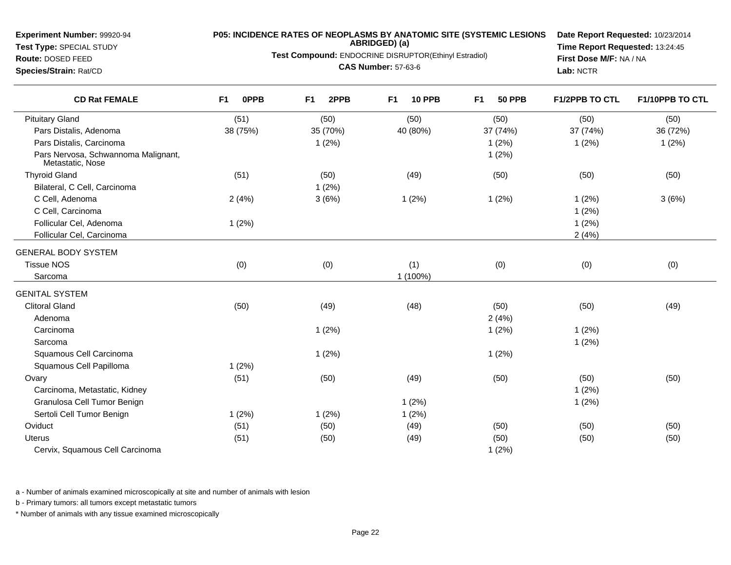**Test Type:** SPECIAL STUDY

**Route:** DOSED FEED**Species/Strain:** Rat/CD

# **P05: INCIDENCE RATES OF NEOPLASMS BY ANATOMIC SITE (SYSTEMIC LESIONS ABRIDGED) (a)**

**Test Compound:** ENDOCRINE DISRUPTOR(Ethinyl Estradiol)

**CAS Number:** 57-63-6

**Date Report Requested:** 10/23/2014**Time Report Requested:** 13:24:45**First Dose M/F:** NA / NA**Lab:** NCTR

| <b>CD Rat FEMALE</b>                                    | <b>OPPB</b><br>F <sub>1</sub> | F <sub>1</sub><br>2PPB | F <sub>1</sub><br><b>10 PPB</b> | <b>50 PPB</b><br>F <sub>1</sub> | <b>F1/2PPB TO CTL</b> | F1/10PPB TO CTL |
|---------------------------------------------------------|-------------------------------|------------------------|---------------------------------|---------------------------------|-----------------------|-----------------|
| <b>Pituitary Gland</b>                                  | (51)                          | (50)                   | (50)                            | (50)                            | (50)                  | (50)            |
| Pars Distalis, Adenoma                                  | 38 (75%)                      | 35 (70%)               | 40 (80%)                        | 37 (74%)                        | 37 (74%)              | 36 (72%)        |
| Pars Distalis, Carcinoma                                |                               | 1(2%)                  |                                 | 1(2%)                           | 1(2%)                 | 1(2%)           |
| Pars Nervosa, Schwannoma Malignant,<br>Metastatic, Nose |                               |                        |                                 | 1(2%)                           |                       |                 |
| <b>Thyroid Gland</b>                                    | (51)                          | (50)                   | (49)                            | (50)                            | (50)                  | (50)            |
| Bilateral, C Cell, Carcinoma                            |                               | 1(2%)                  |                                 |                                 |                       |                 |
| C Cell, Adenoma                                         | 2(4%)                         | 3(6%)                  | 1(2%)                           | 1(2%)                           | 1(2%)                 | 3(6%)           |
| C Cell, Carcinoma                                       |                               |                        |                                 |                                 | 1(2%)                 |                 |
| Follicular Cel, Adenoma                                 | 1(2%)                         |                        |                                 |                                 | 1(2%)                 |                 |
| Follicular Cel, Carcinoma                               |                               |                        |                                 |                                 | 2(4%)                 |                 |
| <b>GENERAL BODY SYSTEM</b>                              |                               |                        |                                 |                                 |                       |                 |
| <b>Tissue NOS</b>                                       | (0)                           | (0)                    | (1)                             | (0)                             | (0)                   | (0)             |
| Sarcoma                                                 |                               |                        | 1 (100%)                        |                                 |                       |                 |
| <b>GENITAL SYSTEM</b>                                   |                               |                        |                                 |                                 |                       |                 |
| <b>Clitoral Gland</b>                                   | (50)                          | (49)                   | (48)                            | (50)                            | (50)                  | (49)            |
| Adenoma                                                 |                               |                        |                                 | 2(4%)                           |                       |                 |
| Carcinoma                                               |                               | 1(2%)                  |                                 | 1(2%)                           | 1(2%)                 |                 |
| Sarcoma                                                 |                               |                        |                                 |                                 | 1(2%)                 |                 |
| Squamous Cell Carcinoma                                 |                               | 1(2%)                  |                                 | 1(2%)                           |                       |                 |
| Squamous Cell Papilloma                                 | 1(2%)                         |                        |                                 |                                 |                       |                 |
| Ovary                                                   | (51)                          | (50)                   | (49)                            | (50)                            | (50)                  | (50)            |
| Carcinoma, Metastatic, Kidney                           |                               |                        |                                 |                                 | 1(2%)                 |                 |
| Granulosa Cell Tumor Benign                             |                               |                        | 1(2%)                           |                                 | 1(2%)                 |                 |
| Sertoli Cell Tumor Benign                               | 1(2%)                         | 1(2%)                  | 1(2%)                           |                                 |                       |                 |
| Oviduct                                                 | (51)                          | (50)                   | (49)                            | (50)                            | (50)                  | (50)            |
| <b>Uterus</b>                                           | (51)                          | (50)                   | (49)                            | (50)                            | (50)                  | (50)            |
| Cervix, Squamous Cell Carcinoma                         |                               |                        |                                 | 1(2%)                           |                       |                 |

a - Number of animals examined microscopically at site and number of animals with lesion

b - Primary tumors: all tumors except metastatic tumors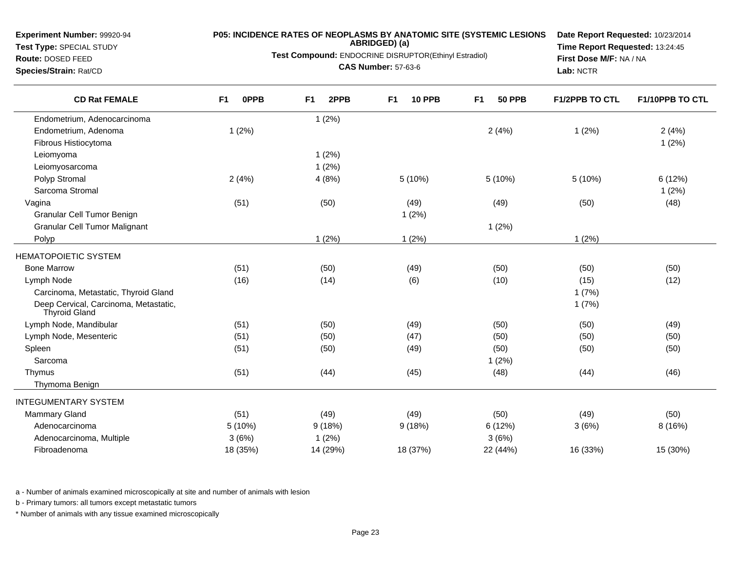**Test Type:** SPECIAL STUDY**Route:** DOSED FEED

**Species/Strain:** Rat/CD

# **P05: INCIDENCE RATES OF NEOPLASMS BY ANATOMIC SITE (SYSTEMIC LESIONS ABRIDGED) (a)**

**Test Compound:** ENDOCRINE DISRUPTOR(Ethinyl Estradiol)

**CAS Number:** 57-63-6

**Date Report Requested:** 10/23/2014**Time Report Requested:** 13:24:45**First Dose M/F:** NA / NA**Lab:** NCTR

| <b>CD Rat FEMALE</b>                                   | F <sub>1</sub><br><b>OPPB</b> | 2PPB<br>F <sub>1</sub> | <b>10 PPB</b><br>F <sub>1</sub> | F <sub>1</sub><br><b>50 PPB</b> | <b>F1/2PPB TO CTL</b> | F1/10PPB TO CTL |
|--------------------------------------------------------|-------------------------------|------------------------|---------------------------------|---------------------------------|-----------------------|-----------------|
| Endometrium, Adenocarcinoma                            |                               | 1(2%)                  |                                 |                                 |                       |                 |
| Endometrium, Adenoma                                   | 1(2%)                         |                        |                                 | 2(4%)                           | 1(2%)                 | 2(4%)           |
| Fibrous Histiocytoma                                   |                               |                        |                                 |                                 |                       | 1(2%)           |
| Leiomyoma                                              |                               | 1(2%)                  |                                 |                                 |                       |                 |
| Leiomyosarcoma                                         |                               | 1(2%)                  |                                 |                                 |                       |                 |
| Polyp Stromal                                          | 2(4%)                         | 4(8%)                  | 5(10%)                          | 5 (10%)                         | 5 (10%)               | 6 (12%)         |
| Sarcoma Stromal                                        |                               |                        |                                 |                                 |                       | 1(2%)           |
| Vagina                                                 | (51)                          | (50)                   | (49)                            | (49)                            | (50)                  | (48)            |
| Granular Cell Tumor Benign                             |                               |                        | 1(2%)                           |                                 |                       |                 |
| <b>Granular Cell Tumor Malignant</b>                   |                               |                        |                                 | 1(2%)                           |                       |                 |
| Polyp                                                  |                               | 1(2%)                  | 1(2%)                           |                                 | 1(2%)                 |                 |
| <b>HEMATOPOIETIC SYSTEM</b>                            |                               |                        |                                 |                                 |                       |                 |
| <b>Bone Marrow</b>                                     | (51)                          | (50)                   | (49)                            | (50)                            | (50)                  | (50)            |
| Lymph Node                                             | (16)                          | (14)                   | (6)                             | (10)                            | (15)                  | (12)            |
| Carcinoma, Metastatic, Thyroid Gland                   |                               |                        |                                 |                                 | 1(7%)                 |                 |
| Deep Cervical, Carcinoma, Metastatic,<br>Thyroid Gland |                               |                        |                                 |                                 | 1(7%)                 |                 |
| Lymph Node, Mandibular                                 | (51)                          | (50)                   | (49)                            | (50)                            | (50)                  | (49)            |
| Lymph Node, Mesenteric                                 | (51)                          | (50)                   | (47)                            | (50)                            | (50)                  | (50)            |
| Spleen                                                 | (51)                          | (50)                   | (49)                            | (50)                            | (50)                  | (50)            |
| Sarcoma                                                |                               |                        |                                 | 1(2%)                           |                       |                 |
| Thymus                                                 | (51)                          | (44)                   | (45)                            | (48)                            | (44)                  | (46)            |
| Thymoma Benign                                         |                               |                        |                                 |                                 |                       |                 |
| <b>INTEGUMENTARY SYSTEM</b>                            |                               |                        |                                 |                                 |                       |                 |
| <b>Mammary Gland</b>                                   | (51)                          | (49)                   | (49)                            | (50)                            | (49)                  | (50)            |
| Adenocarcinoma                                         | 5 (10%)                       | 9(18%)                 | 9(18%)                          | 6(12%)                          | 3(6%)                 | 8 (16%)         |
| Adenocarcinoma, Multiple                               | 3(6%)                         | 1(2%)                  |                                 | 3(6%)                           |                       |                 |
| Fibroadenoma                                           | 18 (35%)                      | 14 (29%)               | 18 (37%)                        | 22 (44%)                        | 16 (33%)              | 15 (30%)        |
|                                                        |                               |                        |                                 |                                 |                       |                 |

a - Number of animals examined microscopically at site and number of animals with lesion

b - Primary tumors: all tumors except metastatic tumors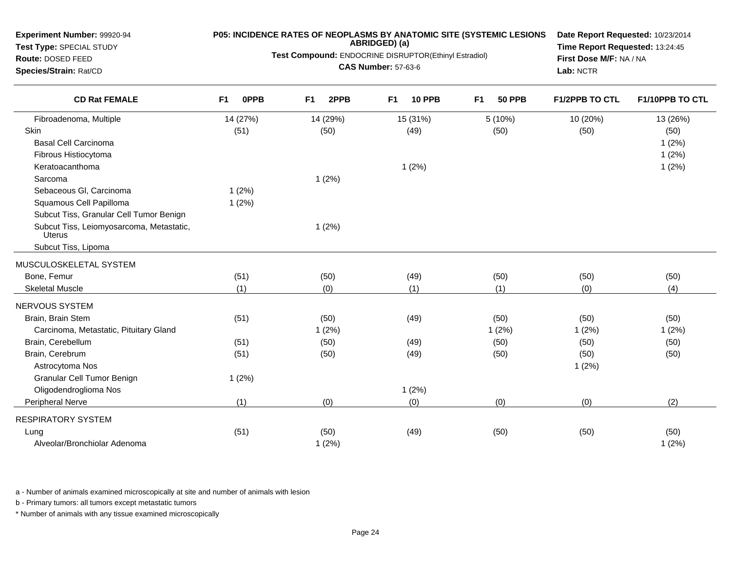| Experiment Number: 99920-94<br>Test Type: SPECIAL STUDY<br>Route: DOSED FEED<br>Species/Strain: Rat/CD | P05: INCIDENCE RATES OF NEOPLASMS BY ANATOMIC SITE (SYSTEMIC LESIONS<br>ABRIDGED) (a)<br>Test Compound: ENDOCRINE DISRUPTOR(Ethinyl Estradiol)<br><b>CAS Number: 57-63-6</b> |          |           |          |                |               |    | Date Report Requested: 10/23/2014<br>Time Report Requested: 13:24:45<br>First Dose M/F: NA / NA<br>Lab: NCTR |                       |                 |
|--------------------------------------------------------------------------------------------------------|------------------------------------------------------------------------------------------------------------------------------------------------------------------------------|----------|-----------|----------|----------------|---------------|----|--------------------------------------------------------------------------------------------------------------|-----------------------|-----------------|
| <b>CD Rat FEMALE</b>                                                                                   | F1                                                                                                                                                                           | 0PPB     | <b>F1</b> | 2PPB     | F <sub>1</sub> | <b>10 PPB</b> | F1 | <b>50 PPB</b>                                                                                                | <b>F1/2PPB TO CTL</b> | F1/10PPB TO CTL |
| Fibroadenoma, Multiple                                                                                 |                                                                                                                                                                              | 14 (27%) |           | 14 (29%) |                | 15 (31%)      |    | 5(10%)                                                                                                       | 10 (20%)              | 13 (26%)        |
| Skin                                                                                                   |                                                                                                                                                                              | (51)     |           | (50)     |                | (49)          |    | (50)                                                                                                         | (50)                  | (50)            |
| <b>Basal Cell Carcinoma</b>                                                                            |                                                                                                                                                                              |          |           |          |                |               |    |                                                                                                              |                       | 1(2%)           |
| Fibrous Histiocytoma                                                                                   |                                                                                                                                                                              |          |           |          |                |               |    |                                                                                                              |                       | 1(2%)           |
| Keratoacanthoma                                                                                        |                                                                                                                                                                              |          |           |          |                | 1(2%)         |    |                                                                                                              |                       | 1(2%)           |
| Sarcoma                                                                                                |                                                                                                                                                                              |          |           | 1(2%)    |                |               |    |                                                                                                              |                       |                 |
| Sebaceous Gl, Carcinoma                                                                                |                                                                                                                                                                              | 1(2%)    |           |          |                |               |    |                                                                                                              |                       |                 |
| Squamous Cell Papilloma                                                                                |                                                                                                                                                                              | 1(2%)    |           |          |                |               |    |                                                                                                              |                       |                 |
| Subcut Tiss, Granular Cell Tumor Benign                                                                |                                                                                                                                                                              |          |           |          |                |               |    |                                                                                                              |                       |                 |
| Subcut Tiss, Leiomyosarcoma, Metastatic,<br><b>Uterus</b>                                              |                                                                                                                                                                              |          |           | 1(2%)    |                |               |    |                                                                                                              |                       |                 |
| Subcut Tiss, Lipoma                                                                                    |                                                                                                                                                                              |          |           |          |                |               |    |                                                                                                              |                       |                 |
| MUSCULOSKELETAL SYSTEM                                                                                 |                                                                                                                                                                              |          |           |          |                |               |    |                                                                                                              |                       |                 |
| Bone, Femur                                                                                            |                                                                                                                                                                              | (51)     |           | (50)     |                | (49)          |    | (50)                                                                                                         | (50)                  | (50)            |
| <b>Skeletal Muscle</b>                                                                                 |                                                                                                                                                                              | (1)      |           | (0)      |                | (1)           |    | (1)                                                                                                          | (0)                   | (4)             |
| NERVOUS SYSTEM                                                                                         |                                                                                                                                                                              |          |           |          |                |               |    |                                                                                                              |                       |                 |
| Brain, Brain Stem                                                                                      |                                                                                                                                                                              | (51)     |           | (50)     |                | (49)          |    | (50)                                                                                                         | (50)                  | (50)            |
| Carcinoma, Metastatic, Pituitary Gland                                                                 |                                                                                                                                                                              |          |           | 1(2%)    |                |               |    | 1(2%)                                                                                                        | 1(2%)                 | 1(2%)           |
| Brain, Cerebellum                                                                                      |                                                                                                                                                                              | (51)     |           | (50)     |                | (49)          |    | (50)                                                                                                         | (50)                  | (50)            |
| Brain, Cerebrum                                                                                        |                                                                                                                                                                              | (51)     |           | (50)     |                | (49)          |    | (50)                                                                                                         | (50)                  | (50)            |
| Astrocytoma Nos                                                                                        |                                                                                                                                                                              |          |           |          |                |               |    |                                                                                                              | 1(2%)                 |                 |
| Granular Cell Tumor Benign                                                                             |                                                                                                                                                                              | 1(2%)    |           |          |                |               |    |                                                                                                              |                       |                 |
| Oligodendroglioma Nos                                                                                  |                                                                                                                                                                              |          |           |          |                | 1(2%)         |    |                                                                                                              |                       |                 |
| Peripheral Nerve                                                                                       |                                                                                                                                                                              | (1)      |           | (0)      |                | (0)           |    | (0)                                                                                                          | (0)                   | (2)             |
| <b>RESPIRATORY SYSTEM</b>                                                                              |                                                                                                                                                                              |          |           |          |                |               |    |                                                                                                              |                       |                 |
| Lung                                                                                                   |                                                                                                                                                                              | (51)     |           | (50)     |                | (49)          |    | (50)                                                                                                         | (50)                  | (50)            |
| Alveolar/Bronchiolar Adenoma                                                                           |                                                                                                                                                                              |          |           | 1(2%)    |                |               |    |                                                                                                              |                       | 1(2%)           |

a - Number of animals examined microscopically at site and number of animals with lesion

b - Primary tumors: all tumors except metastatic tumors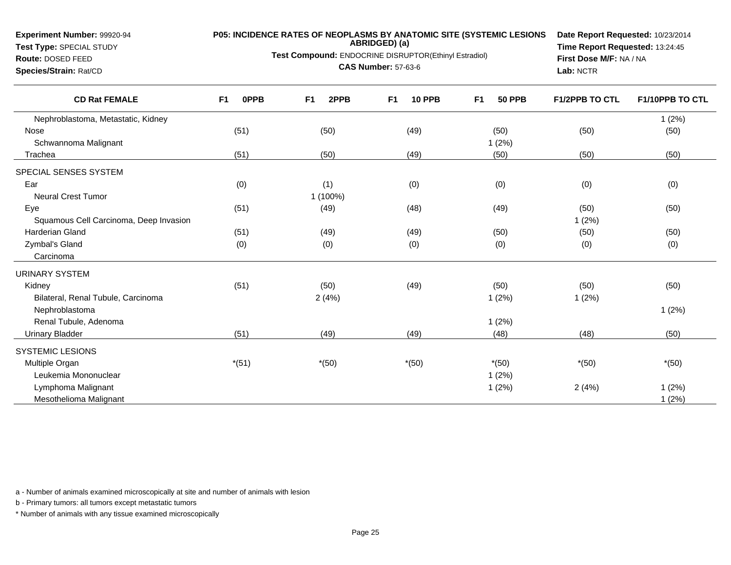**Test Type:** SPECIAL STUDY

**Route:** DOSED FEED**Species/Strain:** Rat/CD

# **P05: INCIDENCE RATES OF NEOPLASMS BY ANATOMIC SITE (SYSTEMIC LESIONS ABRIDGED) (a)**

**Test Compound:** ENDOCRINE DISRUPTOR(Ethinyl Estradiol)

**CAS Number:** 57-63-6

**Date Report Requested:** 10/23/2014**Time Report Requested:** 13:24:45**First Dose M/F:** NA / NA**Lab:** NCTR

| <b>CD Rat FEMALE</b>                   | F <sub>1</sub><br>0PPB | F <sub>1</sub><br>2PPB | F <sub>1</sub><br><b>10 PPB</b> | F <sub>1</sub><br><b>50 PPB</b> | <b>F1/2PPB TO CTL</b> | F1/10PPB TO CTL |
|----------------------------------------|------------------------|------------------------|---------------------------------|---------------------------------|-----------------------|-----------------|
| Nephroblastoma, Metastatic, Kidney     |                        |                        |                                 |                                 |                       | 1(2%)           |
| Nose                                   | (51)                   | (50)                   | (49)                            | (50)                            | (50)                  | (50)            |
| Schwannoma Malignant                   |                        |                        |                                 | 1(2%)                           |                       |                 |
| Trachea                                | (51)                   | (50)                   | (49)                            | (50)                            | (50)                  | (50)            |
| SPECIAL SENSES SYSTEM                  |                        |                        |                                 |                                 |                       |                 |
| Ear                                    | (0)                    | (1)                    | (0)                             | (0)                             | (0)                   | (0)             |
| <b>Neural Crest Tumor</b>              |                        | 1 (100%)               |                                 |                                 |                       |                 |
| Eye                                    | (51)                   | (49)                   | (48)                            | (49)                            | (50)                  | (50)            |
| Squamous Cell Carcinoma, Deep Invasion |                        |                        |                                 |                                 | 1(2%)                 |                 |
| <b>Harderian Gland</b>                 | (51)                   | (49)                   | (49)                            | (50)                            | (50)                  | (50)            |
| Zymbal's Gland                         | (0)                    | (0)                    | (0)                             | (0)                             | (0)                   | (0)             |
| Carcinoma                              |                        |                        |                                 |                                 |                       |                 |
| <b>URINARY SYSTEM</b>                  |                        |                        |                                 |                                 |                       |                 |
| Kidney                                 | (51)                   | (50)                   | (49)                            | (50)                            | (50)                  | (50)            |
| Bilateral, Renal Tubule, Carcinoma     |                        | 2(4%)                  |                                 | 1(2%)                           | 1(2%)                 |                 |
| Nephroblastoma                         |                        |                        |                                 |                                 |                       | 1(2%)           |
| Renal Tubule, Adenoma                  |                        |                        |                                 | 1(2%)                           |                       |                 |
| <b>Urinary Bladder</b>                 | (51)                   | (49)                   | (49)                            | (48)                            | (48)                  | (50)            |
| <b>SYSTEMIC LESIONS</b>                |                        |                        |                                 |                                 |                       |                 |
| Multiple Organ                         | $*(51)$                | $*(50)$                | $*(50)$                         | $*(50)$                         | $*(50)$               | $*(50)$         |
| Leukemia Mononuclear                   |                        |                        |                                 | 1(2%)                           |                       |                 |
| Lymphoma Malignant                     |                        |                        |                                 | 1(2%)                           | 2(4%)                 | 1(2%)           |
| Mesothelioma Malignant                 |                        |                        |                                 |                                 |                       | 1(2%)           |

a - Number of animals examined microscopically at site and number of animals with lesion

b - Primary tumors: all tumors except metastatic tumors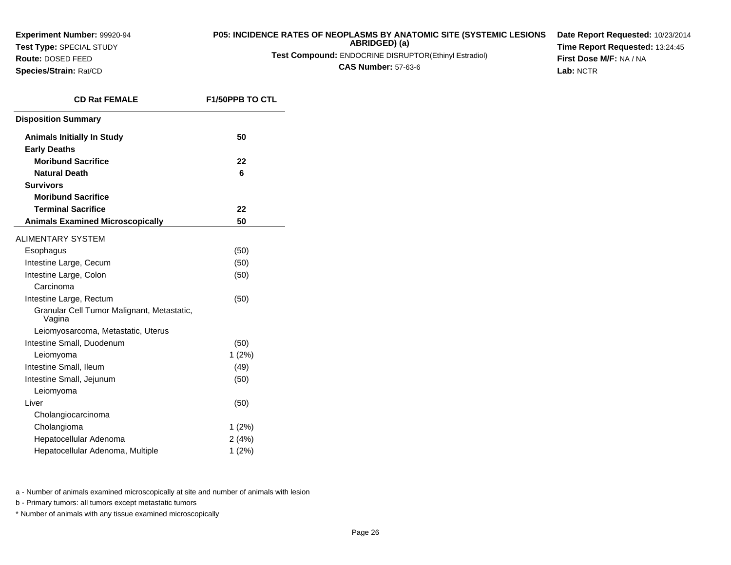**Test Type:** SPECIAL STUDY

**Route:** DOSED FEED**Species/Strain:** Rat/CD

### **P05: INCIDENCE RATES OF NEOPLASMS BY ANATOMIC SITE (SYSTEMIC LESIONSABRIDGED) (a)**

**Test Compound:** ENDOCRINE DISRUPTOR(Ethinyl Estradiol)

**CAS Number:** 57-63-6

**Date Report Requested:** 10/23/2014**Time Report Requested:** 13:24:45**First Dose M/F:** NA / NA**Lab:** NCTR

| <b>CD Rat FEMALE</b>                                     | <b>F1/50PPB TO CTL</b> |  |  |
|----------------------------------------------------------|------------------------|--|--|
| <b>Disposition Summary</b>                               |                        |  |  |
| <b>Animals Initially In Study</b><br><b>Early Deaths</b> | 50                     |  |  |
| <b>Moribund Sacrifice</b>                                | 22                     |  |  |
| <b>Natural Death</b>                                     | 6                      |  |  |
| <b>Survivors</b>                                         |                        |  |  |
| <b>Moribund Sacrifice</b>                                |                        |  |  |
| <b>Terminal Sacrifice</b>                                | 22                     |  |  |
| <b>Animals Examined Microscopically</b>                  | 50                     |  |  |
| <b>ALIMENTARY SYSTEM</b>                                 |                        |  |  |
| Esophagus                                                | (50)                   |  |  |
| Intestine Large, Cecum                                   | (50)                   |  |  |
| Intestine Large, Colon                                   | (50)                   |  |  |
| Carcinoma                                                |                        |  |  |
| Intestine Large, Rectum                                  | (50)                   |  |  |
| Granular Cell Tumor Malignant, Metastatic,<br>Vagina     |                        |  |  |
| Leiomyosarcoma, Metastatic, Uterus                       |                        |  |  |
| Intestine Small, Duodenum                                | (50)                   |  |  |
| Leiomyoma                                                | 1(2%)                  |  |  |
| Intestine Small, Ileum                                   | (49)                   |  |  |
| Intestine Small, Jejunum                                 | (50)                   |  |  |
| Leiomyoma                                                |                        |  |  |
| Liver                                                    | (50)                   |  |  |
| Cholangiocarcinoma                                       |                        |  |  |
| Cholangioma                                              | 1(2%)                  |  |  |
| Hepatocellular Adenoma                                   | 2(4%)                  |  |  |
| Hepatocellular Adenoma, Multiple                         | 1(2%)                  |  |  |

a - Number of animals examined microscopically at site and number of animals with lesion

b - Primary tumors: all tumors except metastatic tumors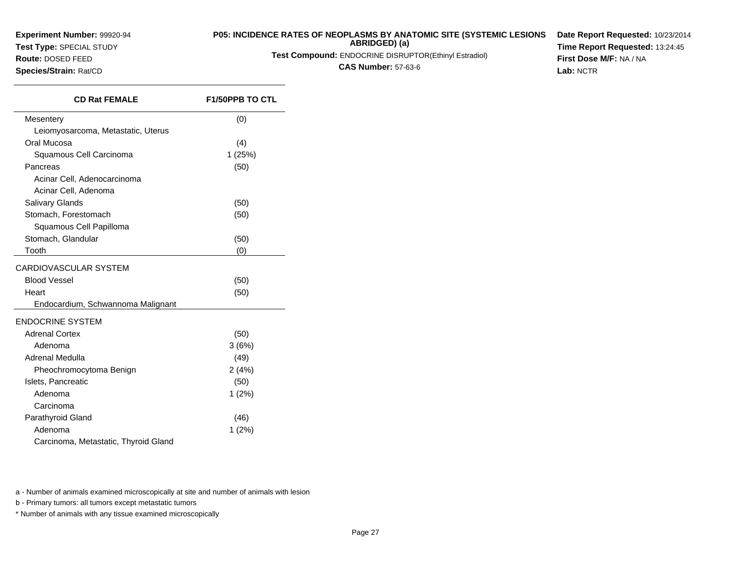**Test Type:** SPECIAL STUDY**Route:** DOSED FEED

# **P05: INCIDENCE RATES OF NEOPLASMS BY ANATOMIC SITE (SYSTEMIC LESIONS ABRIDGED) (a)**

**Test Compound:** ENDOCRINE DISRUPTOR(Ethinyl Estradiol)

**CAS Number:** 57-63-6

**Date Report Requested:** 10/23/2014**Time Report Requested:** 13:24:45**First Dose M/F:** NA / NA**Lab:** NCTR

**Species/Strain:** Rat/CD

| <b>CD Rat FEMALE</b>                 | <b>F1/50PPB TO CTL</b> |
|--------------------------------------|------------------------|
| Mesentery                            | (0)                    |
| Leiomyosarcoma, Metastatic, Uterus   |                        |
| Oral Mucosa                          | (4)                    |
| Squamous Cell Carcinoma              | 1(25%)                 |
| Pancreas                             | (50)                   |
| Acinar Cell, Adenocarcinoma          |                        |
| Acinar Cell, Adenoma                 |                        |
| <b>Salivary Glands</b>               | (50)                   |
| Stomach, Forestomach                 | (50)                   |
| Squamous Cell Papilloma              |                        |
| Stomach, Glandular                   | (50)                   |
| Tooth                                | (0)                    |
| CARDIOVASCULAR SYSTEM                |                        |
| <b>Blood Vessel</b>                  | (50)                   |
| Heart                                | (50)                   |
| Endocardium, Schwannoma Malignant    |                        |
| <b>ENDOCRINE SYSTEM</b>              |                        |
| <b>Adrenal Cortex</b>                | (50)                   |
| Adenoma                              | 3(6%)                  |
| Adrenal Medulla                      | (49)                   |
| Pheochromocytoma Benign              | 2(4%)                  |
| Islets, Pancreatic                   | (50)                   |
| Adenoma                              | 1(2%)                  |
| Carcinoma                            |                        |
| Parathyroid Gland                    | (46)                   |
| Adenoma                              | 1(2%)                  |
| Carcinoma, Metastatic, Thyroid Gland |                        |

a - Number of animals examined microscopically at site and number of animals with lesion

b - Primary tumors: all tumors except metastatic tumors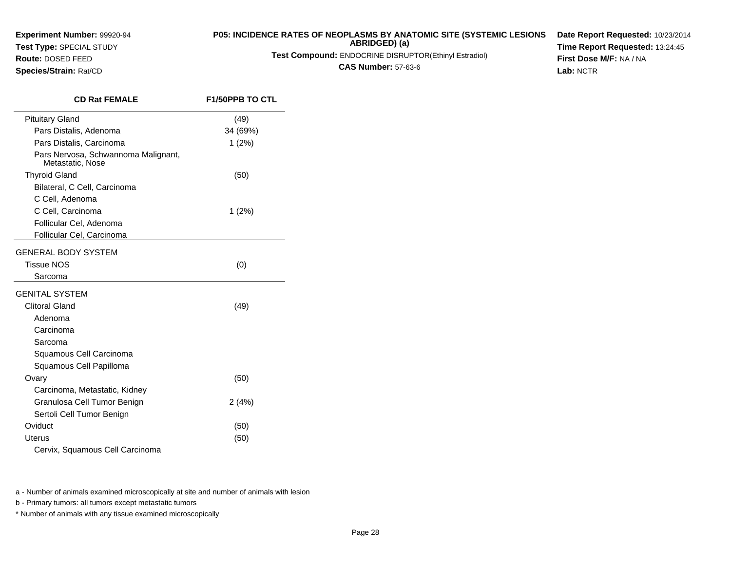**Test Type:** SPECIAL STUDY

**Route:** DOSED FEED**Species/Strain:** Rat/CD

## **P05: INCIDENCE RATES OF NEOPLASMS BY ANATOMIC SITE (SYSTEMIC LESIONS**

**ABRIDGED) (a)**

**Test Compound:** ENDOCRINE DISRUPTOR(Ethinyl Estradiol)

**CAS Number:** 57-63-6

**Date Report Requested:** 10/23/2014**Time Report Requested:** 13:24:45**First Dose M/F:** NA / NA**Lab:** NCTR

**CD Rat FEMALE F1/50PPB TO CTL** Pituitary Gland (49) Pars Distalis, Adenoma 34 (69%) Pars Distalis, Carcinoma 1 (2%) Pars Nervosa, Schwannoma Malignant,Metastatic, NoseThyroid Gland $d \tag{50}$ Bilateral, C Cell, CarcinomaC Cell, Adenoma C Cell, Carcinoma 1 (2%) Follicular Cel, Adenoma Follicular Cel, CarcinomaGENERAL BODY SYSTEMTissue NOS $S \tag{0}$ SarcomaGENITAL SYSTEMClitoral Gland (49) Adenoma CarcinomaSarcoma Squamous Cell Carcinoma Squamous Cell PapillomaOvary $y \tag{50}$ Carcinoma, Metastatic, Kidney Granulosa Cell Tumor Benign 2 (4%) Sertoli Cell Tumor Benign**Oviduct** t  $(50)$ Uterus $\mathbf{s}$  (50) Cervix, Squamous Cell Carcinoma

a - Number of animals examined microscopically at site and number of animals with lesion

b - Primary tumors: all tumors except metastatic tumors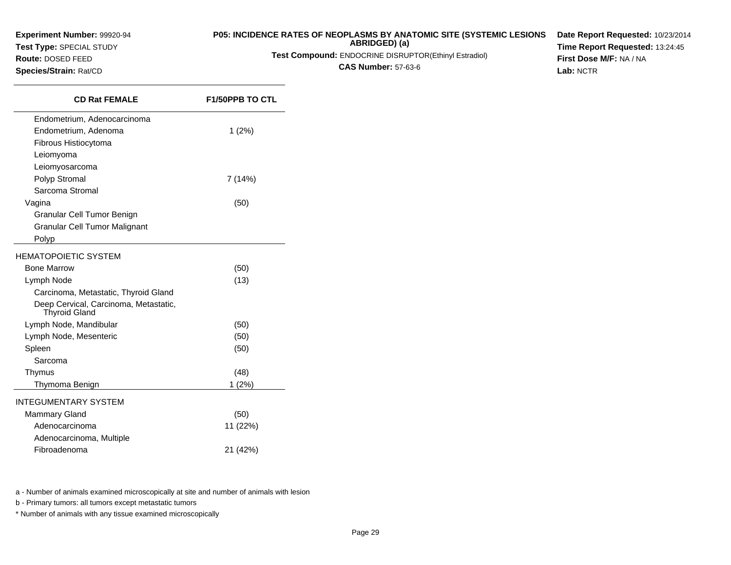**Experiment Number:** 99920-94**Test Type:** SPECIAL STUDY**Route:** DOSED FEED

**Species/Strain:** Rat/CD

### **P05: INCIDENCE RATES OF NEOPLASMS BY ANATOMIC SITE (SYSTEMIC LESIONSABRIDGED) (a)**

**Test Compound:** ENDOCRINE DISRUPTOR(Ethinyl Estradiol)

**CAS Number:** 57-63-6

**Date Report Requested:** 10/23/2014**Time Report Requested:** 13:24:45**First Dose M/F:** NA / NA**Lab:** NCTR

| <b>CD Rat FEMALE</b>                                          | <b>F1/50PPB TO CTL</b> |
|---------------------------------------------------------------|------------------------|
| Endometrium, Adenocarcinoma                                   |                        |
| Endometrium, Adenoma                                          | 1(2%)                  |
| Fibrous Histiocytoma                                          |                        |
| Leiomyoma                                                     |                        |
| Leiomyosarcoma                                                |                        |
| Polyp Stromal                                                 | 7 (14%)                |
| Sarcoma Stromal                                               |                        |
| Vagina                                                        | (50)                   |
| Granular Cell Tumor Benign                                    |                        |
| Granular Cell Tumor Malignant                                 |                        |
| Polyp                                                         |                        |
| HEMATOPOIETIC SYSTEM                                          |                        |
| <b>Bone Marrow</b>                                            | (50)                   |
| Lymph Node                                                    | (13)                   |
| Carcinoma, Metastatic, Thyroid Gland                          |                        |
| Deep Cervical, Carcinoma, Metastatic,<br><b>Thyroid Gland</b> |                        |
| Lymph Node, Mandibular                                        | (50)                   |
| Lymph Node, Mesenteric                                        | (50)                   |
| Spleen                                                        | (50)                   |
| Sarcoma                                                       |                        |
| Thymus                                                        | (48)                   |
| Thymoma Benign                                                | $1(2\%)$               |
| INTEGUMENTARY SYSTEM                                          |                        |
| <b>Mammary Gland</b>                                          | (50)                   |
| Adenocarcinoma                                                | 11 (22%)               |
| Adenocarcinoma, Multiple                                      |                        |
| Fibroadenoma                                                  | 21 (42%)               |
|                                                               |                        |

a - Number of animals examined microscopically at site and number of animals with lesion

b - Primary tumors: all tumors except metastatic tumors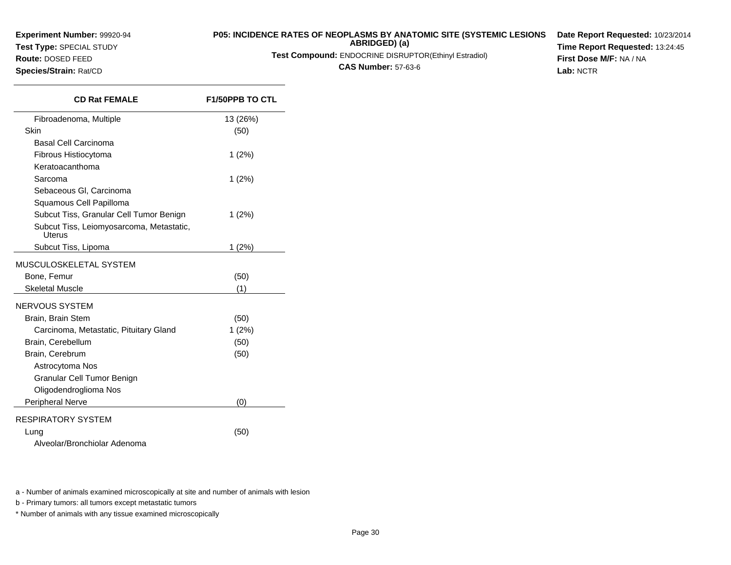## **Test Type:** SPECIAL STUDY

### **Route:** DOSED FEED

**Species/Strain:** Rat/CD

### **P05: INCIDENCE RATES OF NEOPLASMS BY ANATOMIC SITE (SYSTEMIC LESIONS**

**ABRIDGED) (a)Test Compound:** ENDOCRINE DISRUPTOR(Ethinyl Estradiol)

**CAS Number:** 57-63-6

**Date Report Requested:** 10/23/2014**Time Report Requested:** 13:24:45**First Dose M/F:** NA / NA**Lab:** NCTR

| <b>CD Rat FEMALE</b>                               | <b>F1/50PPB TO CTL</b> |  |  |
|----------------------------------------------------|------------------------|--|--|
| Fibroadenoma, Multiple                             | 13 (26%)               |  |  |
| Skin                                               | (50)                   |  |  |
| Basal Cell Carcinoma                               |                        |  |  |
| Fibrous Histiocytoma                               | $1(2\%)$               |  |  |
| Keratoacanthoma                                    |                        |  |  |
| Sarcoma                                            | $1(2\%)$               |  |  |
| Sebaceous GI, Carcinoma                            |                        |  |  |
| Squamous Cell Papilloma                            |                        |  |  |
| Subcut Tiss, Granular Cell Tumor Benign            | $1(2\%)$               |  |  |
| Subcut Tiss, Leiomyosarcoma, Metastatic,<br>Uterus |                        |  |  |
| Subcut Tiss, Lipoma                                | 1(2%)                  |  |  |
| MUSCULOSKELETAL SYSTEM                             |                        |  |  |
| Bone, Femur                                        | (50)                   |  |  |
| <b>Skeletal Muscle</b>                             | (1)                    |  |  |
| NERVOUS SYSTEM                                     |                        |  |  |
| Brain, Brain Stem                                  | (50)                   |  |  |
| Carcinoma, Metastatic, Pituitary Gland             | $1(2\%)$               |  |  |
| Brain, Cerebellum                                  | (50)                   |  |  |
| Brain, Cerebrum                                    | (50)                   |  |  |
| Astrocytoma Nos                                    |                        |  |  |
| Granular Cell Tumor Benign                         |                        |  |  |
| Oligodendroglioma Nos                              |                        |  |  |
| Peripheral Nerve                                   | (0)                    |  |  |
| RESPIRATORY SYSTEM                                 |                        |  |  |
| Lung                                               | (50)                   |  |  |
| Alveolar/Bronchiolar Adenoma                       |                        |  |  |

a - Number of animals examined microscopically at site and number of animals with lesion

b - Primary tumors: all tumors except metastatic tumors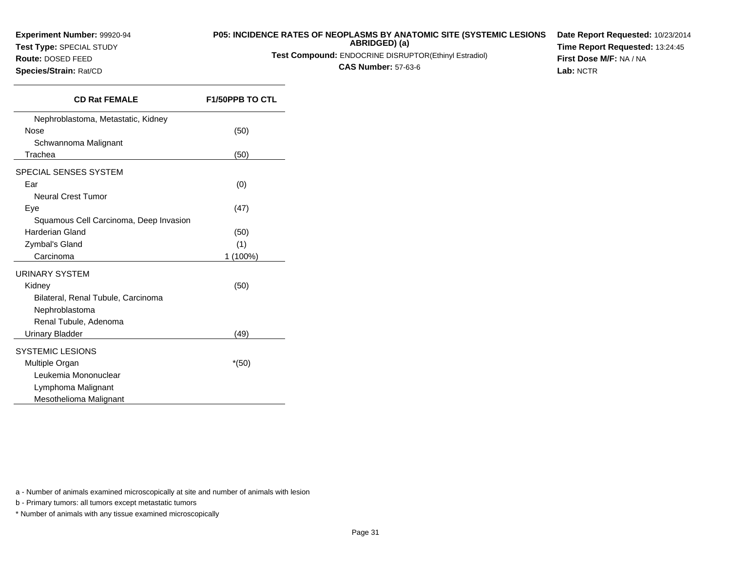**Test Type:** SPECIAL STUDY**Route:** DOSED FEED

**Species/Strain:** Rat/CD

### **P05: INCIDENCE RATES OF NEOPLASMS BY ANATOMIC SITE (SYSTEMIC LESIONSABRIDGED) (a)**

**Test Compound:** ENDOCRINE DISRUPTOR(Ethinyl Estradiol)

**CAS Number:** 57-63-6

**Date Report Requested:** 10/23/2014**Time Report Requested:** 13:24:45**First Dose M/F:** NA / NA**Lab:** NCTR

| <b>CD Rat FEMALE</b>                   | <b>F1/50PPB TO CTL</b> |
|----------------------------------------|------------------------|
| Nephroblastoma, Metastatic, Kidney     |                        |
| Nose                                   | (50)                   |
| Schwannoma Malignant                   |                        |
| Trachea                                | (50)                   |
| SPECIAL SENSES SYSTEM                  |                        |
| Ear                                    | (0)                    |
| <b>Neural Crest Tumor</b>              |                        |
| Eye                                    | (47)                   |
| Squamous Cell Carcinoma, Deep Invasion |                        |
| Harderian Gland                        | (50)                   |
| Zymbal's Gland                         | (1)                    |
| Carcinoma                              | 1 (100%)               |
| URINARY SYSTEM                         |                        |
| Kidney                                 | (50)                   |
| Bilateral, Renal Tubule, Carcinoma     |                        |
| Nephroblastoma                         |                        |
| Renal Tubule, Adenoma                  |                        |
| Urinary Bladder                        | (49)                   |
| <b>SYSTEMIC LESIONS</b>                |                        |
| Multiple Organ                         | $*(50)$                |
| Leukemia Mononuclear                   |                        |
| Lymphoma Malignant                     |                        |
| Mesothelioma Malignant                 |                        |
|                                        |                        |

a - Number of animals examined microscopically at site and number of animals with lesion

b - Primary tumors: all tumors except metastatic tumors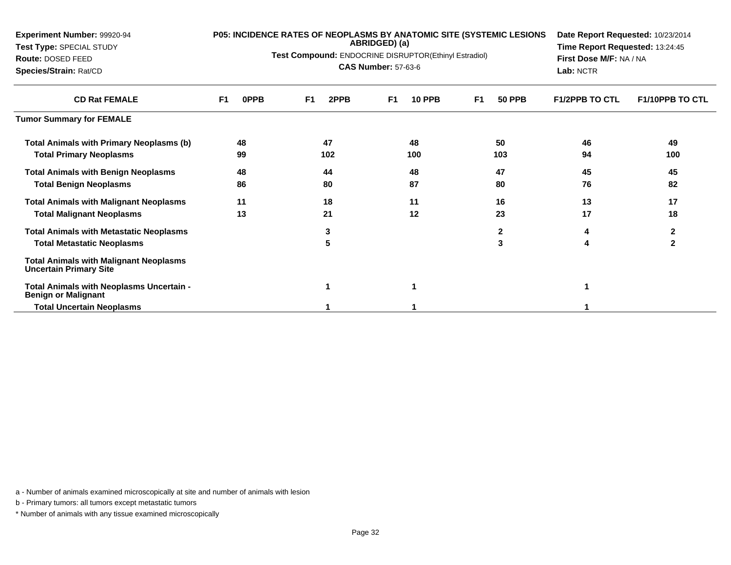| Experiment Number: 99920-94<br>Test Type: SPECIAL STUDY<br>Route: DOSED FEED<br>Species/Strain: Rat/CD | P05: INCIDENCE RATES OF NEOPLASMS BY ANATOMIC SITE (SYSTEMIC LESIONS<br>ABRIDGED) (a)<br>Test Compound: ENDOCRINE DISRUPTOR(Ethinyl Estradiol)<br><b>CAS Number: 57-63-6</b> |                        |                                 |                                 | Date Report Requested: 10/23/2014<br>Time Report Requested: 13:24:45<br>First Dose M/F: NA / NA<br>Lab: NCTR |                        |
|--------------------------------------------------------------------------------------------------------|------------------------------------------------------------------------------------------------------------------------------------------------------------------------------|------------------------|---------------------------------|---------------------------------|--------------------------------------------------------------------------------------------------------------|------------------------|
| <b>CD Rat FEMALE</b>                                                                                   | <b>OPPB</b><br>F1                                                                                                                                                            | F <sub>1</sub><br>2PPB | <b>10 PPB</b><br>F <sub>1</sub> | <b>50 PPB</b><br>F <sub>1</sub> | <b>F1/2PPB TO CTL</b>                                                                                        | <b>F1/10PPB TO CTL</b> |
| <b>Tumor Summary for FEMALE</b>                                                                        |                                                                                                                                                                              |                        |                                 |                                 |                                                                                                              |                        |
| Total Animals with Primary Neoplasms (b)                                                               | 48                                                                                                                                                                           | 47                     | 48                              | 50                              | 46                                                                                                           | 49                     |
| <b>Total Primary Neoplasms</b>                                                                         | 99                                                                                                                                                                           | 102                    | 100                             | 103                             | 94                                                                                                           | 100                    |
| <b>Total Animals with Benign Neoplasms</b>                                                             | 48                                                                                                                                                                           | 44                     | 48                              | 47                              | 45                                                                                                           | 45                     |
| <b>Total Benign Neoplasms</b>                                                                          | 86                                                                                                                                                                           | 80                     | 87                              | 80                              | 76                                                                                                           | 82                     |
| <b>Total Animals with Malignant Neoplasms</b>                                                          | 11                                                                                                                                                                           | 18                     | 11                              | 16                              | 13                                                                                                           | 17                     |
| <b>Total Malignant Neoplasms</b>                                                                       | 13                                                                                                                                                                           | 21                     | 12                              | 23                              | 17                                                                                                           | 18                     |
| <b>Total Animals with Metastatic Neoplasms</b>                                                         |                                                                                                                                                                              | 3                      |                                 | $\mathbf{2}$                    |                                                                                                              | 2                      |
| Total Metastatic Neoplasms                                                                             |                                                                                                                                                                              | 5                      |                                 | 3                               | 4                                                                                                            | $\mathbf{2}$           |
| <b>Total Animals with Malignant Neoplasms</b><br><b>Uncertain Primary Site</b>                         |                                                                                                                                                                              |                        |                                 |                                 |                                                                                                              |                        |
| Total Animals with Neoplasms Uncertain -<br><b>Benign or Malignant</b>                                 |                                                                                                                                                                              | 1                      | 1                               |                                 |                                                                                                              |                        |
| <b>Total Uncertain Neoplasms</b>                                                                       |                                                                                                                                                                              |                        |                                 |                                 |                                                                                                              |                        |

a - Number of animals examined microscopically at site and number of animals with lesion

b - Primary tumors: all tumors except metastatic tumors